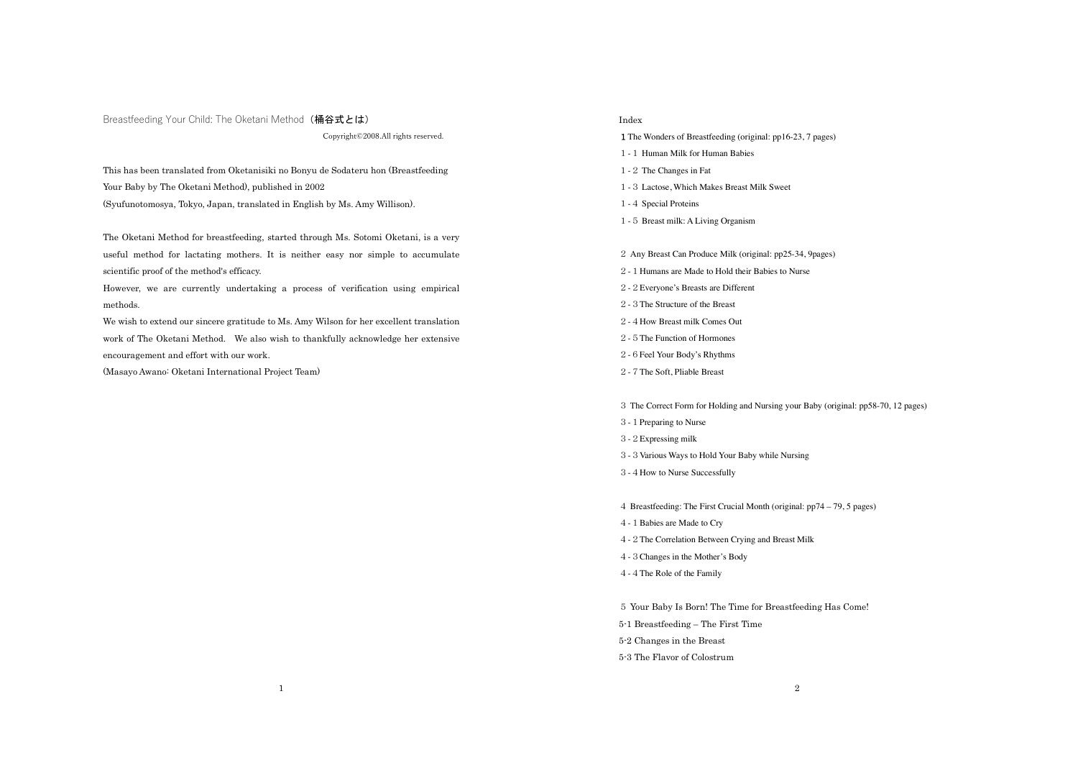Breastfeeding Your Child: The Oketani Method **(桶谷式とは)** 

Copyright©2008.All rights reserved.

This has been translated from Oketanisiki no Bonyu de Sodateru hon (Breastfeeding Your Baby by The Oketani Method), published in 2002

(Syufunotomosya, Tokyo, Japan, translated in English by Ms. Amy Willison).

The Oketani Method for breastfeeding, started through Ms. Sotomi Oketani, is a very useful method for lactating mothers. It is neither easy nor simple to accumulate scientific proof of the method's efficacy.

However, we are currently undertaking a process of verification using empirical methods.

We wish to extend our sincere gratitude to Ms. Amy Wilson for her excellent translation work of The Oketani Method. We also wish to thankfully acknowledge her extensive encouragement and effort with our work.

(Masayo Awano: Oketani International Project Team)

# Index

The Wonders of Breastfeeding (original: pp16-23, 7 pages)

- 1 1 Human Milk for Human Babies
- 1 2 The Changes in Fat
- 1 3 Lactose, Which Makes Breast Milk Sweet
- 1 4 Special Proteins
- 1 5 Breast milk: A Living Organism
- 2 Any Breast Can Produce Milk (original: pp25-34, 9pages)
- 2 1 Humans are Made to Hold their Babies to Nurse
- 2 2 Everyone's Breasts are Different
- 2 3 The Structure of the Breast
- 2 4 How Breast milk Comes Out
- 2 5 The Function of Hormones
- 2 6 Feel Your Body's Rhythms
- 2 7 The Soft, Pliable Breast

The Correct Form for Holding and Nursing your Baby (original: pp58-70, 12 pages)

- 3 1 Preparing to Nurse
- 3 2 Expressing milk
- 3 3 Various Ways to Hold Your Baby while Nursing
- 3 4 How to Nurse Successfully

Breastfeeding: The First Crucial Month (original: pp74 – 79, 5 pages)

- 4 1 Babies are Made to Cry
- 4 2 The Correlation Between Crying and Breast Milk
- 4 3 Changes in the Mother's Body
- 4 4 The Role of the Family

Your Baby Is Born! The Time for Breastfeeding Has Come!

5-1 Breastfeeding – The First Time

- 5-2 Changes in the Breast
- 5-3 The Flavor of Colostrum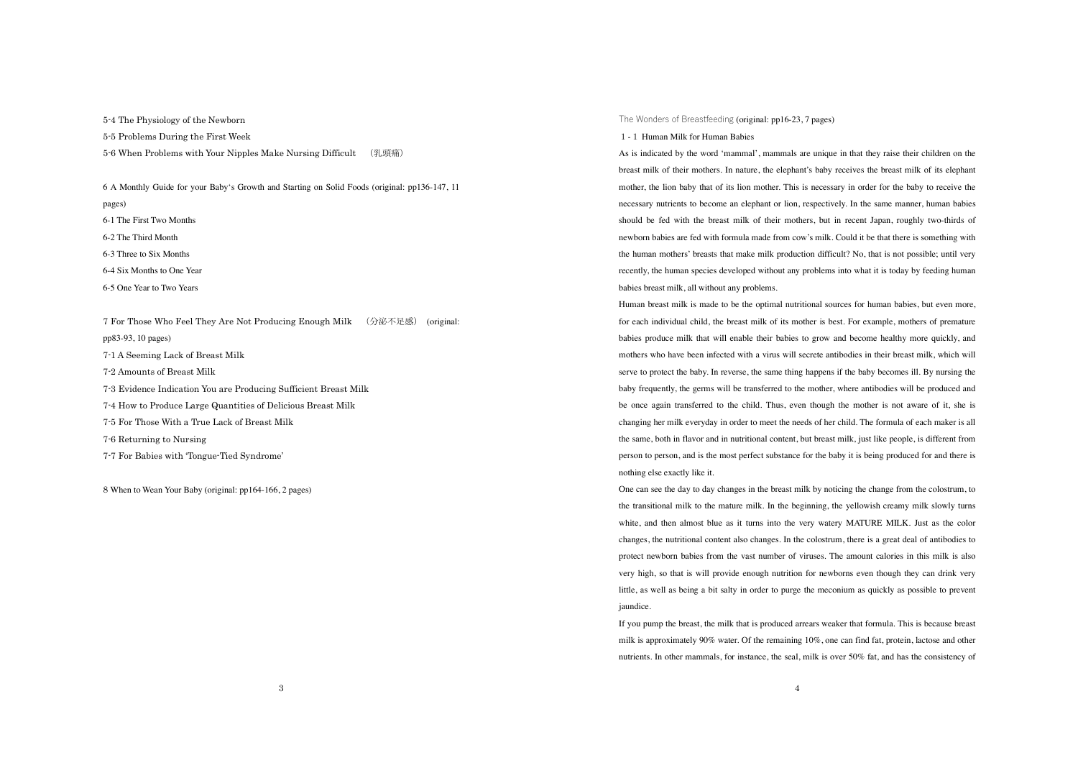5-4 The Physiology of the Newborn 5-5 Problems During the First Week

5-6 When Problems with Your Nipples Make Nursing Difficult

6 A Monthly Guide for your Baby's Growth and Starting on Solid Foods (original: pp136-147, 11 pages) 6-1 The First Two Months

6-2 The Third Month

6-3 Three to Six Months

6-4 Six Months to One Year

6-5 One Year to Two Years

7 For Those Who Feel They Are Not Producing Enough Milk (分泌不足感) (original: pp83-93, 10 pages) 7-1 A Seeming Lack of Breast Milk

7-2 Amounts of Breast Milk

7-3 Evidence Indication You are Producing Sufficient Breast Milk

7-4 How to Produce Large Quantities of Delicious Breast Milk

7-5 For Those With a True Lack of Breast Milk

7-6 Returning to Nursing

7-7 For Babies with 'Tongue-Tied Syndrome'

8 When to Wean Your Baby (original: pp164-166, 2 pages)

The Wonders of Breastfeeding (original: pp16-23, 7 pages)

1 - 1 Human Milk for Human Babies

As is indicated by the word 'mammal', mammals are unique in that they raise their children on the breast milk of their mothers. In nature, the elephant's baby receives the breast milk of its elephant mother, the lion baby that of its lion mother. This is necessary in order for the baby to receive the necessary nutrients to become an elephant or lion, respectively. In the same manner, human babies should be fed with the breast milk of their mothers, but in recent Japan, roughly two-thirds of newborn babies are fed with formula made from cow's milk. Could it be that there is something with the human mothers' breasts that make milk production difficult? No, that is not possible; until very recently, the human species developed without any problems into what it is today by feeding human babies breast milk, all without any problems.

Human breast milk is made to be the optimal nutritional sources for human babies, but even more, for each individual child, the breast milk of its mother is best. For example, mothers of premature babies produce milk that will enable their babies to grow and become healthy more quickly, and mothers who have been infected with a virus will secrete antibodies in their breast milk, which will serve to protect the baby. In reverse, the same thing happens if the baby becomes ill. By nursing the baby frequently, the germs will be transferred to the mother, where antibodies will be produced and be once again transferred to the child. Thus, even though the mother is not aware of it, she is changing her milk everyday in order to meet the needs of her child. The formula of each maker is all the same, both in flavor and in nutritional content, but breast milk, just like people, is different from person to person, and is the most perfect substance for the baby it is being produced for and there is nothing else exactly like it.

One can see the day to day changes in the breast milk by noticing the change from the colostrum, to the transitional milk to the mature milk. In the beginning, the yellowish creamy milk slowly turns white, and then almost blue as it turns into the very watery MATURE MILK. Just as the color changes, the nutritional content also changes. In the colostrum, there is a great deal of antibodies to protect newborn babies from the vast number of viruses. The amount calories in this milk is also very high, so that is will provide enough nutrition for newborns even though they can drink very little, as well as being a bit salty in order to purge the meconium as quickly as possible to prevent iaundice.

If you pump the breast, the milk that is produced arrears weaker that formula. This is because breast milk is approximately 90% water. Of the remaining 10%, one can find fat, protein, lactose and other nutrients. In other mammals, for instance, the seal, milk is over 50% fat, and has the consistency of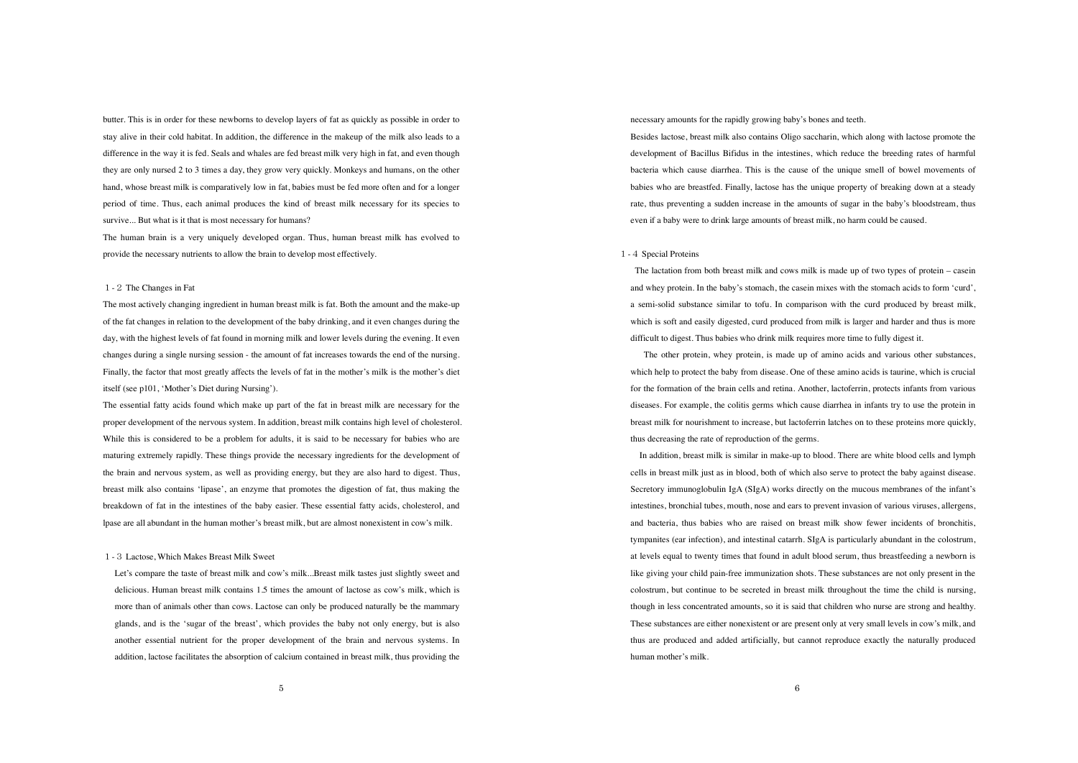butter. This is in order for these newborns to develop layers of fat as quickly as possible in order to stay alive in their cold habitat. In addition, the difference in the makeup of the milk also leads to a difference in the way it is fed. Seals and whales are fed breast milk very high in fat, and even though they are only nursed 2 to 3 times a day, they grow very quickly. Monkeys and humans, on the other hand, whose breast milk is comparatively low in fat, babies must be fed more often and for a longer period of time. Thus, each animal produces the kind of breast milk necessary for its species to survive... But what is it that is most necessary for humans?

The human brain is a very uniquely developed organ. Thus, human breast milk has evolved to provide the necessary nutrients to allow the brain to develop most effectively.

#### 1 - 2 The Changes in Fat

The most actively changing ingredient in human breast milk is fat. Both the amount and the make-up of the fat changes in relation to the development of the baby drinking, and it even changes during the day, with the highest levels of fat found in morning milk and lower levels during the evening. It even changes during a single nursing session - the amount of fat increases towards the end of the nursing. Finally, the factor that most greatly affects the levels of fat in the mother's milk is the mother's diet itself (see p101, 'Mother's Diet during Nursing').

The essential fatty acids found which make up part of the fat in breast milk are necessary for the proper development of the nervous system. In addition, breast milk contains high level of cholesterol. While this is considered to be a problem for adults, it is said to be necessary for babies who are maturing extremely rapidly. These things provide the necessary ingredients for the development of the brain and nervous system, as well as providing energy, but they are also hard to digest. Thus, breast milk also contains 'lipase', an enzyme that promotes the digestion of fat, thus making the breakdown of fat in the intestines of the baby easier. These essential fatty acids, cholesterol, and lpase are all abundant in the human mother's breast milk, but are almost nonexistent in cow's milk.

#### 1 - 3 Lactose, Which Makes Breast Milk Sweet

Let's compare the taste of breast milk and cow's milk...Breast milk tastes just slightly sweet and delicious. Human breast milk contains 1.5 times the amount of lactose as cow's milk, which is more than of animals other than cows. Lactose can only be produced naturally be the mammary glands, and is the 'sugar of the breast', which provides the baby not only energy, but is also another essential nutrient for the proper development of the brain and nervous systems. In addition, lactose facilitates the absorption of calcium contained in breast milk, thus providing the necessary amounts for the rapidly growing baby's bones and teeth.

Besides lactose, breast milk also contains Oligo saccharin, which along with lactose promote the development of Bacillus Bifidus in the intestines, which reduce the breeding rates of harmful bacteria which cause diarrhea. This is the cause of the unique smell of bowel movements of babies who are breastfed. Finally, lactose has the unique property of breaking down at a steady rate, thus preventing a sudden increase in the amounts of sugar in the baby's bloodstream, thus even if a baby were to drink large amounts of breast milk, no harm could be caused.

#### 1 - 4 Special Proteins

The lactation from both breast milk and cows milk is made up of two types of protein – casein and whey protein. In the baby's stomach, the casein mixes with the stomach acids to form 'curd', a semi-solid substance similar to tofu. In comparison with the curd produced by breast milk, which is soft and easily digested, curd produced from milk is larger and harder and thus is more difficult to digest. Thus babies who drink milk requires more time to fully digest it.

 The other protein, whey protein, is made up of amino acids and various other substances, which help to protect the baby from disease. One of these amino acids is taurine, which is crucial for the formation of the brain cells and retina. Another, lactoferrin, protects infants from various diseases. For example, the colitis germs which cause diarrhea in infants try to use the protein in breast milk for nourishment to increase, but lactoferrin latches on to these proteins more quickly, thus decreasing the rate of reproduction of the germs.

 In addition, breast milk is similar in make-up to blood. There are white blood cells and lymph cells in breast milk just as in blood, both of which also serve to protect the baby against disease. Secretory immunoglobulin IgA (SIgA) works directly on the mucous membranes of the infant's intestines, bronchial tubes, mouth, nose and ears to prevent invasion of various viruses, allergens, and bacteria, thus babies who are raised on breast milk show fewer incidents of bronchitis, tympanites (ear infection), and intestinal catarrh. SIgA is particularly abundant in the colostrum, at levels equal to twenty times that found in adult blood serum, thus breastfeeding a newborn is like giving your child pain-free immunization shots. These substances are not only present in the colostrum, but continue to be secreted in breast milk throughout the time the child is nursing, though in less concentrated amounts, so it is said that children who nurse are strong and healthy. These substances are either nonexistent or are present only at very small levels in cow's milk, and thus are produced and added artificially, but cannot reproduce exactly the naturally produced human mother's milk.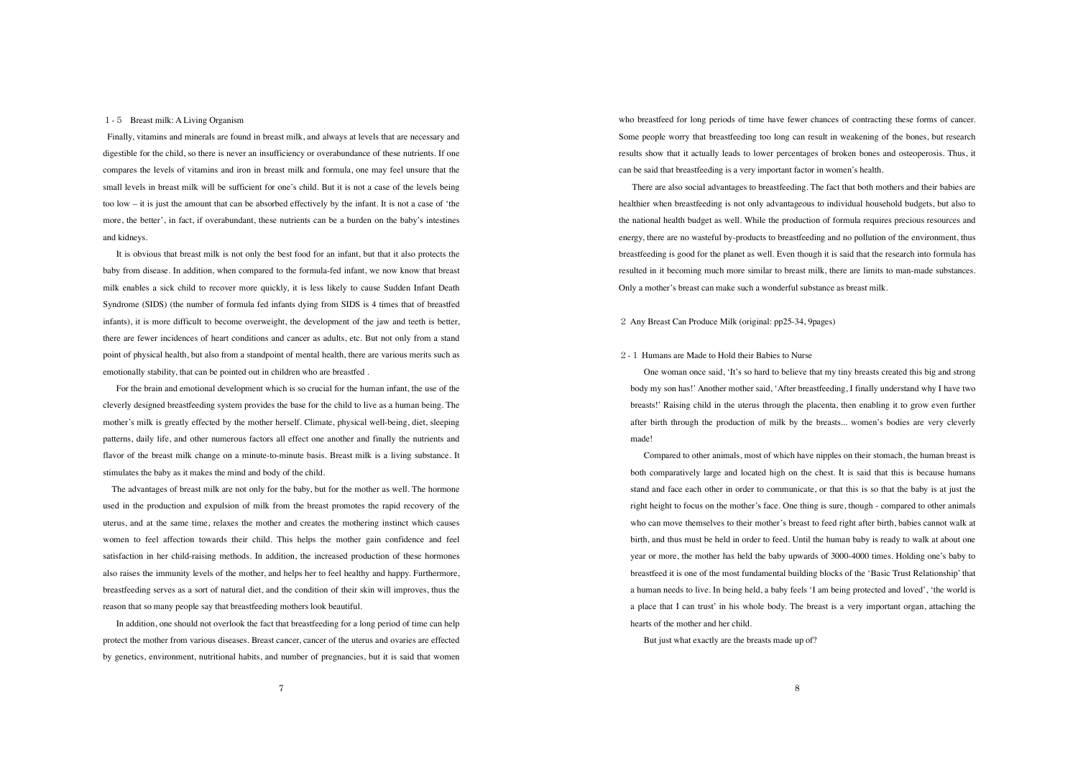#### 1 - 5 Breast milk: A Living Organism

Finally, vitamins and minerals are found in breast milk, and always at levels that are necessary and digestible for the child, so there is never an insufficiency or overabundance of these nutrients. If one compares the levels of vitamins and iron in breast milk and formula, one may feel unsure that the small levels in breast milk will be sufficient for one's child. But it is not a case of the levels being too low – it is just the amount that can be absorbed effectively by the infant. It is not a case of 'the more, the better', in fact, if overabundant, these nutrients can be a burden on the baby's intestines and kidneys.

 It is obvious that breast milk is not only the best food for an infant, but that it also protects the baby from disease. In addition, when compared to the formula-fed infant, we now know that breast milk enables a sick child to recover more quickly, it is less likely to cause Sudden Infant Death Syndrome (SIDS) (the number of formula fed infants dying from SIDS is 4 times that of breastfed infants), it is more difficult to become overweight, the development of the jaw and teeth is better, there are fewer incidences of heart conditions and cancer as adults, etc. But not only from a stand point of physical health, but also from a standpoint of mental health, there are various merits such as emotionally stability, that can be pointed out in children who are breastfed .

 For the brain and emotional development which is so crucial for the human infant, the use of the cleverly designed breastfeeding system provides the base for the child to live as a human being. The mother's milk is greatly effected by the mother herself. Climate, physical well-being, diet, sleeping patterns, daily life, and other numerous factors all effect one another and finally the nutrients and flavor of the breast milk change on a minute-to-minute basis. Breast milk is a living substance. It stimulates the baby as it makes the mind and body of the child.

 The advantages of breast milk are not only for the baby, but for the mother as well. The hormone used in the production and expulsion of milk from the breast promotes the rapid recovery of the uterus, and at the same time, relaxes the mother and creates the mothering instinct which causes women to feel affection towards their child. This helps the mother gain confidence and feel satisfaction in her child-raising methods. In addition, the increased production of these hormones also raises the immunity levels of the mother, and helps her to feel healthy and happy. Furthermore, breastfeeding serves as a sort of natural diet, and the condition of their skin will improves, thus the reason that so many people say that breastfeeding mothers look beautiful.

 In addition, one should not overlook the fact that breastfeeding for a long period of time can help protect the mother from various diseases. Breast cancer, cancer of the uterus and ovaries are effected by genetics, environment, nutritional habits, and number of pregnancies, but it is said that women who breastfeed for long periods of time have fewer chances of contracting these forms of cancer. Some people worry that breastfeeding too long can result in weakening of the bones, but research results show that it actually leads to lower percentages of broken bones and osteoperosis. Thus, it can be said that breastfeeding is a very important factor in women's health.

 There are also social advantages to breastfeeding. The fact that both mothers and their babies are healthier when breastfeeding is not only advantageous to individual household budgets, but also to the national health budget as well. While the production of formula requires precious resources and energy, there are no wasteful by-products to breastfeeding and no pollution of the environment, thus breastfeeding is good for the planet as well. Even though it is said that the research into formula has resulted in it becoming much more similar to breast milk, there are limits to man-made substances. Only a mother's breast can make such a wonderful substance as breast milk.

# 2 Any Breast Can Produce Milk (original: pp25-34, 9pages)

## 2 - 1 Humans are Made to Hold their Babies to Nurse

 One woman once said, 'It's so hard to believe that my tiny breasts created this big and strong body my son has!' Another mother said, 'After breastfeeding, I finally understand why I have two breasts!' Raising child in the uterus through the placenta, then enabling it to grow even further after birth through the production of milk by the breasts... women's bodies are very cleverly made!

 Compared to other animals, most of which have nipples on their stomach, the human breast is both comparatively large and located high on the chest. It is said that this is because humans stand and face each other in order to communicate, or that this is so that the baby is at just the right height to focus on the mother's face. One thing is sure, though - compared to other animals who can move themselves to their mother's breast to feed right after birth, babies cannot walk at birth, and thus must be held in order to feed. Until the human baby is ready to walk at about one year or more, the mother has held the baby upwards of 3000-4000 times. Holding one's baby to breastfeed it is one of the most fundamental building blocks of the 'Basic Trust Relationship' that a human needs to live. In being held, a baby feels 'I am being protected and loved', 'the world is a place that I can trust' in his whole body. The breast is a very important organ, attaching the hearts of the mother and her child.

But just what exactly are the breasts made up of?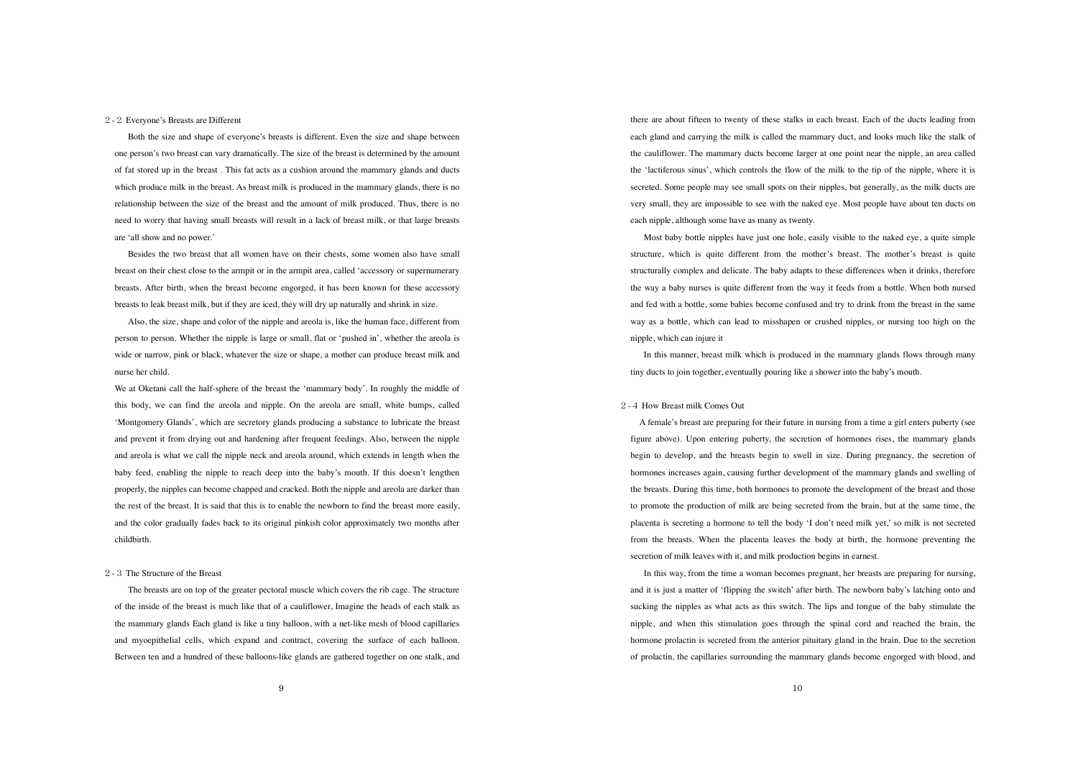#### 2 - 2 Everyone's Breasts are Different

 Both the size and shape of everyone's breasts is different. Even the size and shape between one person's two breast can vary dramatically. The size of the breast is determined by the amount of fat stored up in the breast . This fat acts as a cushion around the mammary glands and ducts which produce milk in the breast. As breast milk is produced in the mammary glands, there is no relationship between the size of the breast and the amount of milk produced. Thus, there is no need to worry that having small breasts will result in a lack of breast milk, or that large breasts are 'all show and no power.'

 Besides the two breast that all women have on their chests, some women also have small breast on their chest close to the armpit or in the armpit area, called 'accessory or supernumerary breasts. After birth, when the breast become engorged, it has been known for these accessory breasts to leak breast milk, but if they are iced, they will dry up naturally and shrink in size.

 Also, the size, shape and color of the nipple and areola is, like the human face, different from person to person. Whether the nipple is large or small, flat or 'pushed in', whether the areola is wide or narrow, pink or black, whatever the size or shape, a mother can produce breast milk and nurse her child.

We at Oketani call the half-sphere of the breast the 'mammary body'. In roughly the middle of this body, we can find the areola and nipple. On the areola are small, white bumps, called 'Montgomery Glands', which are secretory glands producing a substance to lubricate the breast and prevent it from drying out and hardening after frequent feedings. Also, between the nipple and areola is what we call the nipple neck and areola around, which extends in length when the baby feed, enabling the nipple to reach deep into the baby's mouth. If this doesn't lengthen properly, the nipples can become chapped and cracked. Both the nipple and areola are darker than the rest of the breast. It is said that this is to enable the newborn to find the breast more easily, and the color gradually fades back to its original pinkish color approximately two months after childbirth.

# 2 - 3 The Structure of the Breast

 The breasts are on top of the greater pectoral muscle which covers the rib cage. The structure of the inside of the breast is much like that of a cauliflower, Imagine the heads of each stalk as the mammary glands Each gland is like a tiny balloon, with a net-like mesh of blood capillaries and myoepithelial cells, which expand and contract, covering the surface of each balloon. Between ten and a hundred of these balloons-like glands are gathered together on one stalk, and

there are about fifteen to twenty of these stalks in each breast. Each of the ducts leading from each gland and carrying the milk is called the mammary duct, and looks much like the stalk of the cauliflower. The mammary ducts become larger at one point near the nipple, an area called the 'lactiferous sinus', which controls the flow of the milk to the tip of the nipple, where it is secreted. Some people may see small spots on their nipples, but generally, as the milk ducts are very small, they are impossible to see with the naked eye. Most people have about ten ducts on each nipple, although some have as many as twenty.

 Most baby bottle nipples have just one hole, easily visible to the naked eye, a quite simple structure, which is quite different from the mother's breast. The mother's breast is quite structurally complex and delicate. The baby adapts to these differences when it drinks, therefore the way a baby nurses is quite different from the way it feeds from a bottle. When both nursed and fed with a bottle, some babies become confused and try to drink from the breast in the same way as a bottle, which can lead to misshapen or crushed nipples, or nursing too high on the nipple, which can injure it

 In this manner, breast milk which is produced in the mammary glands flows through many tiny ducts to join together, eventually pouring like a shower into the baby's mouth.

### 2 - 4 How Breast milk Comes Out

 A female's breast are preparing for their future in nursing from a time a girl enters puberty (see figure above). Upon entering puberty, the secretion of hormones rises, the mammary glands begin to develop, and the breasts begin to swell in size. During pregnancy, the secretion of hormones increases again, causing further development of the mammary glands and swelling of the breasts. During this time, both hormones to promote the development of the breast and those to promote the production of milk are being secreted from the brain, but at the same time, the placenta is secreting a hormone to tell the body 'I don't need milk yet,' so milk is not secreted from the breasts. When the placenta leaves the body at birth, the hormone preventing the secretion of milk leaves with it, and milk production begins in earnest.

 In this way, from the time a woman becomes pregnant, her breasts are preparing for nursing, and it is just a matter of 'flipping the switch' after birth. The newborn baby's latching onto and sucking the nipples as what acts as this switch. The lips and tongue of the baby stimulate the nipple, and when this stimulation goes through the spinal cord and reached the brain, the hormone prolactin is secreted from the anterior pituitary gland in the brain. Due to the secretion of prolactin, the capillaries surrounding the mammary glands become engorged with blood, and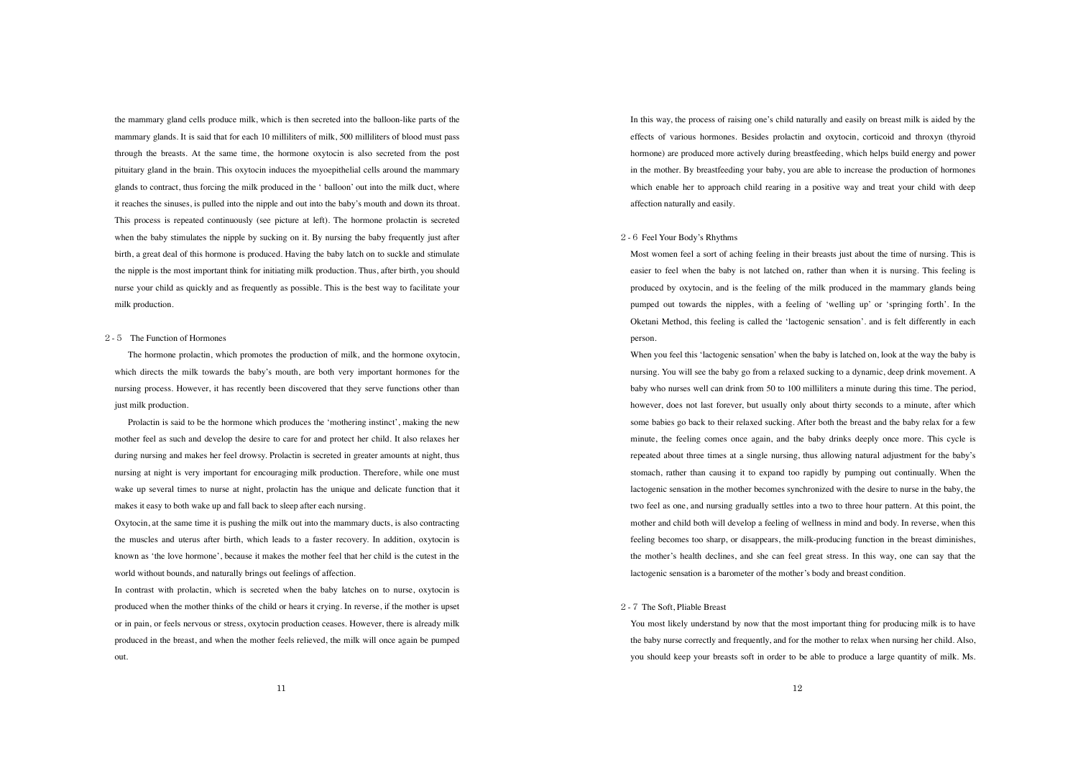the mammary gland cells produce milk, which is then secreted into the balloon-like parts of the mammary glands. It is said that for each 10 milliliters of milk, 500 milliliters of blood must pass through the breasts. At the same time, the hormone oxytocin is also secreted from the post pituitary gland in the brain. This oxytocin induces the myoepithelial cells around the mammary glands to contract, thus forcing the milk produced in the ' balloon' out into the milk duct, where it reaches the sinuses, is pulled into the nipple and out into the baby's mouth and down its throat. This process is repeated continuously (see picture at left). The hormone prolactin is secreted when the baby stimulates the nipple by sucking on it. By nursing the baby frequently just after birth, a great deal of this hormone is produced. Having the baby latch on to suckle and stimulate the nipple is the most important think for initiating milk production. Thus, after birth, you should nurse your child as quickly and as frequently as possible. This is the best way to facilitate your milk production.

#### 2 - 5 The Function of Hormones

 The hormone prolactin, which promotes the production of milk, and the hormone oxytocin, which directs the milk towards the baby's mouth, are both very important hormones for the nursing process. However, it has recently been discovered that they serve functions other than just milk production.

 Prolactin is said to be the hormone which produces the 'mothering instinct', making the new mother feel as such and develop the desire to care for and protect her child. It also relaxes her during nursing and makes her feel drowsy. Prolactin is secreted in greater amounts at night, thus nursing at night is very important for encouraging milk production. Therefore, while one must wake up several times to nurse at night, prolactin has the unique and delicate function that it makes it easy to both wake up and fall back to sleep after each nursing.

Oxytocin, at the same time it is pushing the milk out into the mammary ducts, is also contracting the muscles and uterus after birth, which leads to a faster recovery. In addition, oxytocin is known as 'the love hormone', because it makes the mother feel that her child is the cutest in the world without bounds, and naturally brings out feelings of affection.

In contrast with prolactin, which is secreted when the baby latches on to nurse, oxytocin is produced when the mother thinks of the child or hears it crying. In reverse, if the mother is upset or in pain, or feels nervous or stress, oxytocin production ceases. However, there is already milk produced in the breast, and when the mother feels relieved, the milk will once again be pumped out.

In this way, the process of raising one's child naturally and easily on breast milk is aided by the effects of various hormones. Besides prolactin and oxytocin, corticoid and throxyn (thyroid hormone) are produced more actively during breastfeeding, which helps build energy and power in the mother. By breastfeeding your baby, you are able to increase the production of hormones which enable her to approach child rearing in a positive way and treat your child with deep affection naturally and easily.

#### 2 - 6 Feel Your Body's Rhythms

Most women feel a sort of aching feeling in their breasts just about the time of nursing. This is easier to feel when the baby is not latched on, rather than when it is nursing. This feeling is produced by oxytocin, and is the feeling of the milk produced in the mammary glands being pumped out towards the nipples, with a feeling of 'welling up' or 'springing forth'. In the Oketani Method, this feeling is called the 'lactogenic sensation'. and is felt differently in each person.

When you feel this 'lactogenic sensation' when the baby is latched on, look at the way the baby is nursing. You will see the baby go from a relaxed sucking to a dynamic, deep drink movement. A baby who nurses well can drink from 50 to 100 milliliters a minute during this time. The period, however, does not last forever, but usually only about thirty seconds to a minute, after which some babies go back to their relaxed sucking. After both the breast and the baby relax for a few minute, the feeling comes once again, and the baby drinks deeply once more. This cycle is repeated about three times at a single nursing, thus allowing natural adjustment for the baby's stomach, rather than causing it to expand too rapidly by pumping out continually. When the lactogenic sensation in the mother becomes synchronized with the desire to nurse in the baby, the two feel as one, and nursing gradually settles into a two to three hour pattern. At this point, the mother and child both will develop a feeling of wellness in mind and body. In reverse, when this feeling becomes too sharp, or disappears, the milk-producing function in the breast diminishes, the mother's health declines, and she can feel great stress. In this way, one can say that the lactogenic sensation is a barometer of the mother's body and breast condition.

# 2 - 7 The Soft, Pliable Breast

You most likely understand by now that the most important thing for producing milk is to have the baby nurse correctly and frequently, and for the mother to relax when nursing her child. Also, you should keep your breasts soft in order to be able to produce a large quantity of milk. Ms.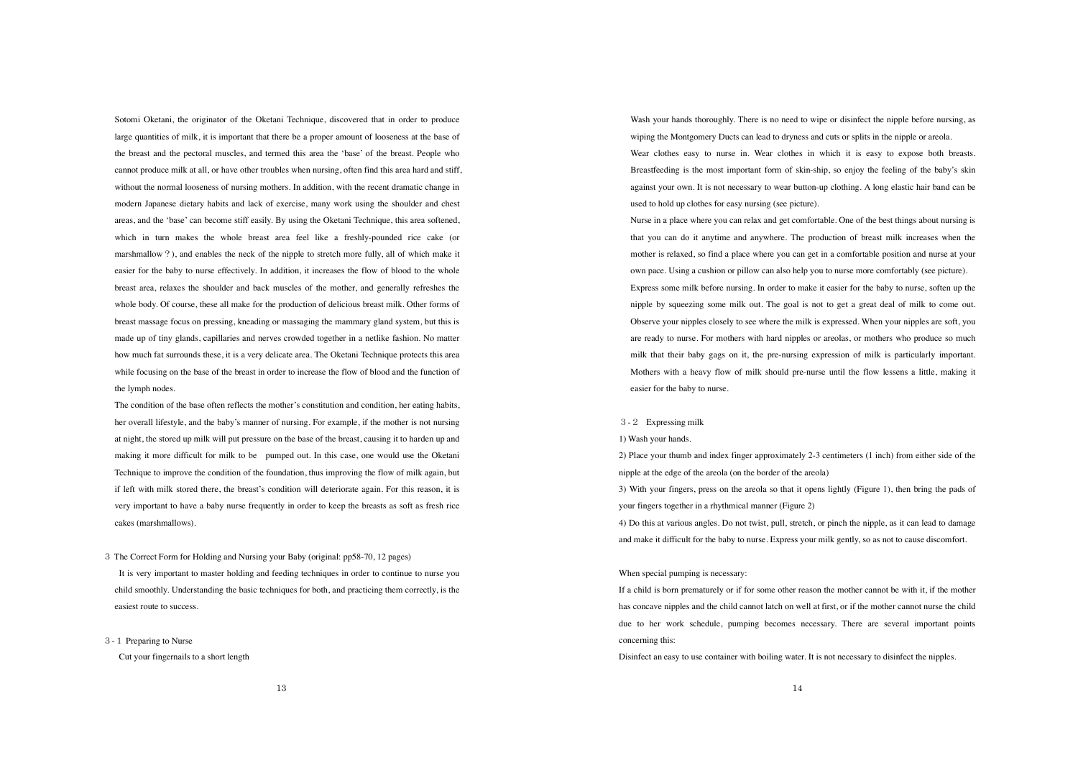Sotomi Oketani, the originator of the Oketani Technique, discovered that in order to produce large quantities of milk, it is important that there be a proper amount of looseness at the base of the breast and the pectoral muscles, and termed this area the 'base' of the breast. People who cannot produce milk at all, or have other troubles when nursing, often find this area hard and stiff, without the normal looseness of nursing mothers. In addition, with the recent dramatic change in modern Japanese dietary habits and lack of exercise, many work using the shoulder and chest areas, and the 'base' can become stiff easily. By using the Oketani Technique, this area softened, which in turn makes the whole breast area feel like a freshly-pounded rice cake (or marshmallow?), and enables the neck of the nipple to stretch more fully, all of which make it easier for the baby to nurse effectively. In addition, it increases the flow of blood to the whole breast area, relaxes the shoulder and back muscles of the mother, and generally refreshes the whole body. Of course, these all make for the production of delicious breast milk. Other forms of breast massage focus on pressing, kneading or massaging the mammary gland system, but this is made up of tiny glands, capillaries and nerves crowded together in a netlike fashion. No matter how much fat surrounds these, it is a very delicate area. The Oketani Technique protects this area while focusing on the base of the breast in order to increase the flow of blood and the function of the lymph nodes.

The condition of the base often reflects the mother's constitution and condition, her eating habits, her overall lifestyle, and the baby's manner of nursing. For example, if the mother is not nursing at night, the stored up milk will put pressure on the base of the breast, causing it to harden up and making it more difficult for milk to be pumped out. In this case, one would use the Oketani Technique to improve the condition of the foundation, thus improving the flow of milk again, but if left with milk stored there, the breast's condition will deteriorate again. For this reason, it is very important to have a baby nurse frequently in order to keep the breasts as soft as fresh rice cakes (marshmallows).

The Correct Form for Holding and Nursing your Baby (original: pp58-70, 12 pages)

It is very important to master holding and feeding techniques in order to continue to nurse you child smoothly. Understanding the basic techniques for both, and practicing them correctly, is the easiest route to success.

# 3 - 1 Preparing to Nurse

Cut your fingernails to a short length

Wash your hands thoroughly. There is no need to wipe or disinfect the nipple before nursing, as wiping the Montgomery Ducts can lead to dryness and cuts or splits in the nipple or areola.

Wear clothes easy to nurse in. Wear clothes in which it is easy to expose both breasts. Breastfeeding is the most important form of skin-ship, so enjoy the feeling of the baby's skin against your own. It is not necessary to wear button-up clothing. A long elastic hair band can be used to hold up clothes for easy nursing (see picture).

Nurse in a place where you can relax and get comfortable. One of the best things about nursing is that you can do it anytime and anywhere. The production of breast milk increases when the mother is relaxed, so find a place where you can get in a comfortable position and nurse at your own pace. Using a cushion or pillow can also help you to nurse more comfortably (see picture). Express some milk before nursing. In order to make it easier for the baby to nurse, soften up the nipple by squeezing some milk out. The goal is not to get a great deal of milk to come out. Observe your nipples closely to see where the milk is expressed. When your nipples are soft, you are ready to nurse. For mothers with hard nipples or areolas, or mothers who produce so much milk that their baby gags on it, the pre-nursing expression of milk is particularly important. Mothers with a heavy flow of milk should pre-nurse until the flow lessens a little, making it easier for the baby to nurse.

#### 3 - 2 Expressing milk

1) Wash your hands.

2) Place your thumb and index finger approximately 2-3 centimeters (1 inch) from either side of the nipple at the edge of the areola (on the border of the areola)

3) With your fingers, press on the areola so that it opens lightly (Figure 1), then bring the pads of your fingers together in a rhythmical manner (Figure 2)

4) Do this at various angles. Do not twist, pull, stretch, or pinch the nipple, as it can lead to damage and make it difficult for the baby to nurse. Express your milk gently, so as not to cause discomfort.

#### When special pumping is necessary:

If a child is born prematurely or if for some other reason the mother cannot be with it, if the mother has concave nipples and the child cannot latch on well at first, or if the mother cannot nurse the child due to her work schedule, pumping becomes necessary. There are several important points concerning this:

Disinfect an easy to use container with boiling water. It is not necessary to disinfect the nipples.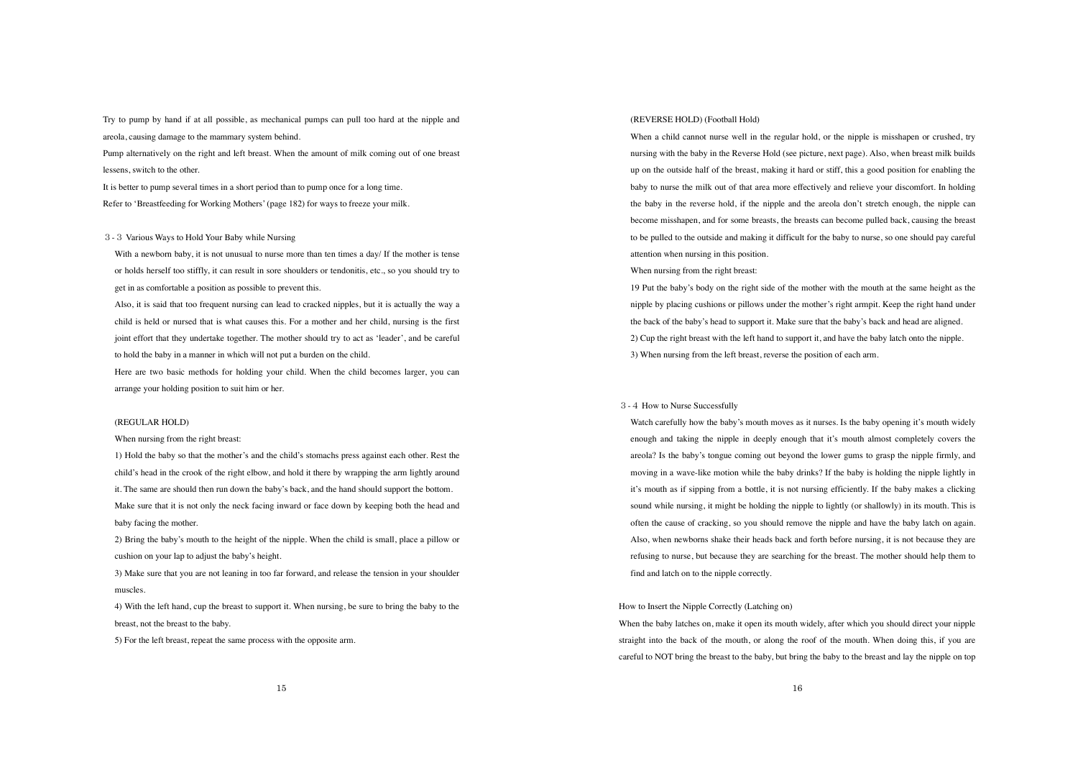Try to pump by hand if at all possible, as mechanical pumps can pull too hard at the nipple and areola, causing damage to the mammary system behind.

Pump alternatively on the right and left breast. When the amount of milk coming out of one breast lessens, switch to the other.

It is better to pump several times in a short period than to pump once for a long time. Refer to 'Breastfeeding for Working Mothers' (page 182) for ways to freeze your milk.

# 3 - 3 Various Ways to Hold Your Baby while Nursing

With a newborn baby, it is not unusual to nurse more than ten times a day/ If the mother is tense or holds herself too stiffly, it can result in sore shoulders or tendonitis, etc., so you should try to get in as comfortable a position as possible to prevent this.

Also, it is said that too frequent nursing can lead to cracked nipples, but it is actually the way a child is held or nursed that is what causes this. For a mother and her child, nursing is the first joint effort that they undertake together. The mother should try to act as 'leader', and be careful to hold the baby in a manner in which will not put a burden on the child.

Here are two basic methods for holding your child. When the child becomes larger, you can arrange your holding position to suit him or her.

### (REGULAR HOLD)

#### When nursing from the right breast:

1) Hold the baby so that the mother's and the child's stomachs press against each other. Rest the child's head in the crook of the right elbow, and hold it there by wrapping the arm lightly around it. The same are should then run down the baby's back, and the hand should support the bottom. Make sure that it is not only the neck facing inward or face down by keeping both the head and baby facing the mother.

2) Bring the baby's mouth to the height of the nipple. When the child is small, place a pillow or cushion on your lap to adjust the baby's height.

3) Make sure that you are not leaning in too far forward, and release the tension in your shoulder muscles.

4) With the left hand, cup the breast to support it. When nursing, be sure to bring the baby to the breast, not the breast to the baby.

5) For the left breast, repeat the same process with the opposite arm.

### (REVERSE HOLD) (Football Hold)

When a child cannot nurse well in the regular hold, or the nipple is misshapen or crushed, try nursing with the baby in the Reverse Hold (see picture, next page). Also, when breast milk builds up on the outside half of the breast, making it hard or stiff, this a good position for enabling the baby to nurse the milk out of that area more effectively and relieve your discomfort. In holding the baby in the reverse hold, if the nipple and the areola don't stretch enough, the nipple can become misshapen, and for some breasts, the breasts can become pulled back, causing the breast to be pulled to the outside and making it difficult for the baby to nurse, so one should pay careful attention when nursing in this position.

When nursing from the right breast:

19 Put the baby's body on the right side of the mother with the mouth at the same height as the nipple by placing cushions or pillows under the mother's right armpit. Keep the right hand under the back of the baby's head to support it. Make sure that the baby's back and head are aligned. 2) Cup the right breast with the left hand to support it, and have the baby latch onto the nipple. 3) When nursing from the left breast, reverse the position of each arm.

### 3 - 4 How to Nurse Successfully

Watch carefully how the baby's mouth moves as it nurses. Is the baby opening it's mouth widely enough and taking the nipple in deeply enough that it's mouth almost completely covers the areola? Is the baby's tongue coming out beyond the lower gums to grasp the nipple firmly, and moving in a wave-like motion while the baby drinks? If the baby is holding the nipple lightly in it's mouth as if sipping from a bottle, it is not nursing efficiently. If the baby makes a clicking sound while nursing, it might be holding the nipple to lightly (or shallowly) in its mouth. This is often the cause of cracking, so you should remove the nipple and have the baby latch on again. Also, when newborns shake their heads back and forth before nursing, it is not because they are refusing to nurse, but because they are searching for the breast. The mother should help them to find and latch on to the nipple correctly.

# How to Insert the Nipple Correctly (Latching on)

When the baby latches on, make it open its mouth widely, after which you should direct your nipple straight into the back of the mouth, or along the roof of the mouth. When doing this, if you are careful to NOT bring the breast to the baby, but bring the baby to the breast and lay the nipple on top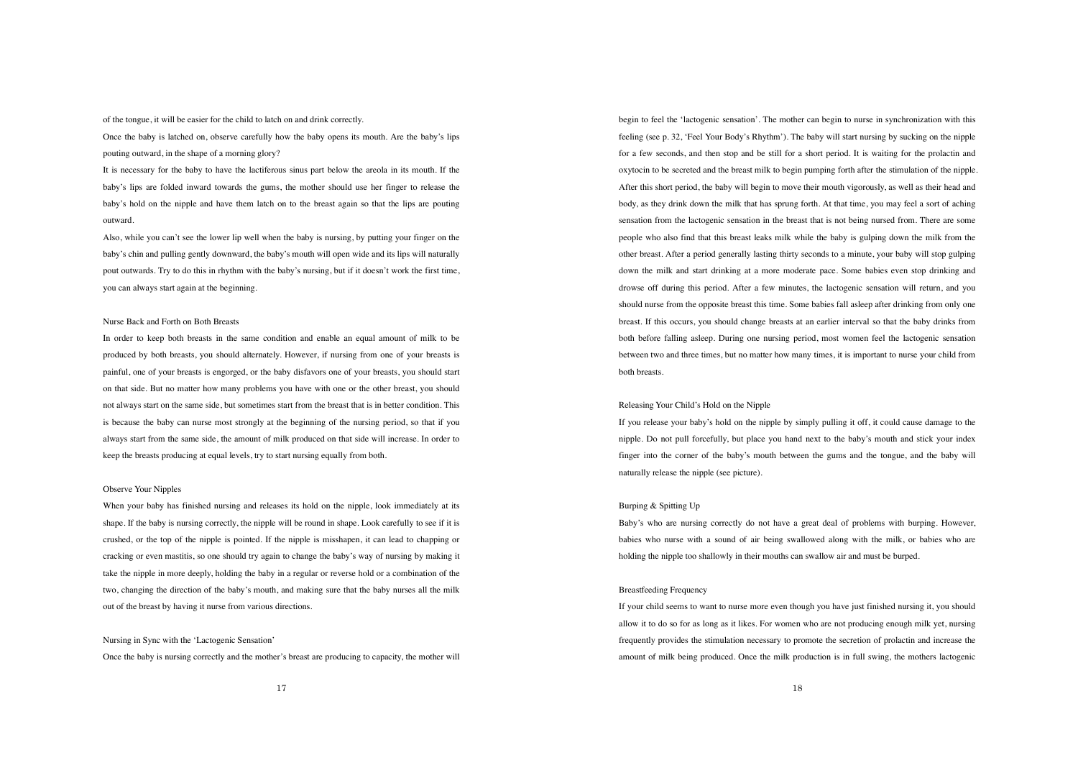of the tongue, it will be easier for the child to latch on and drink correctly.

Once the baby is latched on, observe carefully how the baby opens its mouth. Are the baby's lips pouting outward, in the shape of a morning glory?

It is necessary for the baby to have the lactiferous sinus part below the areola in its mouth. If the baby's lips are folded inward towards the gums, the mother should use her finger to release the baby's hold on the nipple and have them latch on to the breast again so that the lips are pouting outward.

Also, while you can't see the lower lip well when the baby is nursing, by putting your finger on the baby's chin and pulling gently downward, the baby's mouth will open wide and its lips will naturally pout outwards. Try to do this in rhythm with the baby's nursing, but if it doesn't work the first time, you can always start again at the beginning.

## Nurse Back and Forth on Both Breasts

In order to keep both breasts in the same condition and enable an equal amount of milk to be produced by both breasts, you should alternately. However, if nursing from one of your breasts is painful, one of your breasts is engorged, or the baby disfavors one of your breasts, you should start on that side. But no matter how many problems you have with one or the other breast, you should not always start on the same side, but sometimes start from the breast that is in better condition. This is because the baby can nurse most strongly at the beginning of the nursing period, so that if you always start from the same side, the amount of milk produced on that side will increase. In order to keep the breasts producing at equal levels, try to start nursing equally from both.

# Observe Your Nipples

When your baby has finished nursing and releases its hold on the nipple, look immediately at its shape. If the baby is nursing correctly, the nipple will be round in shape. Look carefully to see if it is crushed, or the top of the nipple is pointed. If the nipple is misshapen, it can lead to chapping or cracking or even mastitis, so one should try again to change the baby's way of nursing by making it take the nipple in more deeply, holding the baby in a regular or reverse hold or a combination of the two, changing the direction of the baby's mouth, and making sure that the baby nurses all the milk out of the breast by having it nurse from various directions.

Nursing in Sync with the 'Lactogenic Sensation' Once the baby is nursing correctly and the mother's breast are producing to capacity, the mother will begin to feel the 'lactogenic sensation'. The mother can begin to nurse in synchronization with this feeling (see p. 32, 'Feel Your Body's Rhythm'). The baby will start nursing by sucking on the nipple for a few seconds, and then stop and be still for a short period. It is waiting for the prolactin and oxytocin to be secreted and the breast milk to begin pumping forth after the stimulation of the nipple. After this short period, the baby will begin to move their mouth vigorously, as well as their head and body, as they drink down the milk that has sprung forth. At that time, you may feel a sort of aching sensation from the lactogenic sensation in the breast that is not being nursed from. There are some people who also find that this breast leaks milk while the baby is gulping down the milk from the other breast. After a period generally lasting thirty seconds to a minute, your baby will stop gulping down the milk and start drinking at a more moderate pace. Some babies even stop drinking and drowse off during this period. After a few minutes, the lactogenic sensation will return, and you should nurse from the opposite breast this time. Some babies fall asleep after drinking from only one breast. If this occurs, you should change breasts at an earlier interval so that the baby drinks from both before falling asleep. During one nursing period, most women feel the lactogenic sensation between two and three times, but no matter how many times, it is important to nurse your child from both breasts.

### Releasing Your Child's Hold on the Nipple

If you release your baby's hold on the nipple by simply pulling it off, it could cause damage to the nipple. Do not pull forcefully, but place you hand next to the baby's mouth and stick your index finger into the corner of the baby's mouth between the gums and the tongue, and the baby will naturally release the nipple (see picture).

# Burping & Spitting Up

Baby's who are nursing correctly do not have a great deal of problems with burping. However, babies who nurse with a sound of air being swallowed along with the milk, or babies who are holding the nipple too shallowly in their mouths can swallow air and must be burped.

#### Breastfeeding Frequency

If your child seems to want to nurse more even though you have just finished nursing it, you should allow it to do so for as long as it likes. For women who are not producing enough milk yet, nursing frequently provides the stimulation necessary to promote the secretion of prolactin and increase the amount of milk being produced. Once the milk production is in full swing, the mothers lactogenic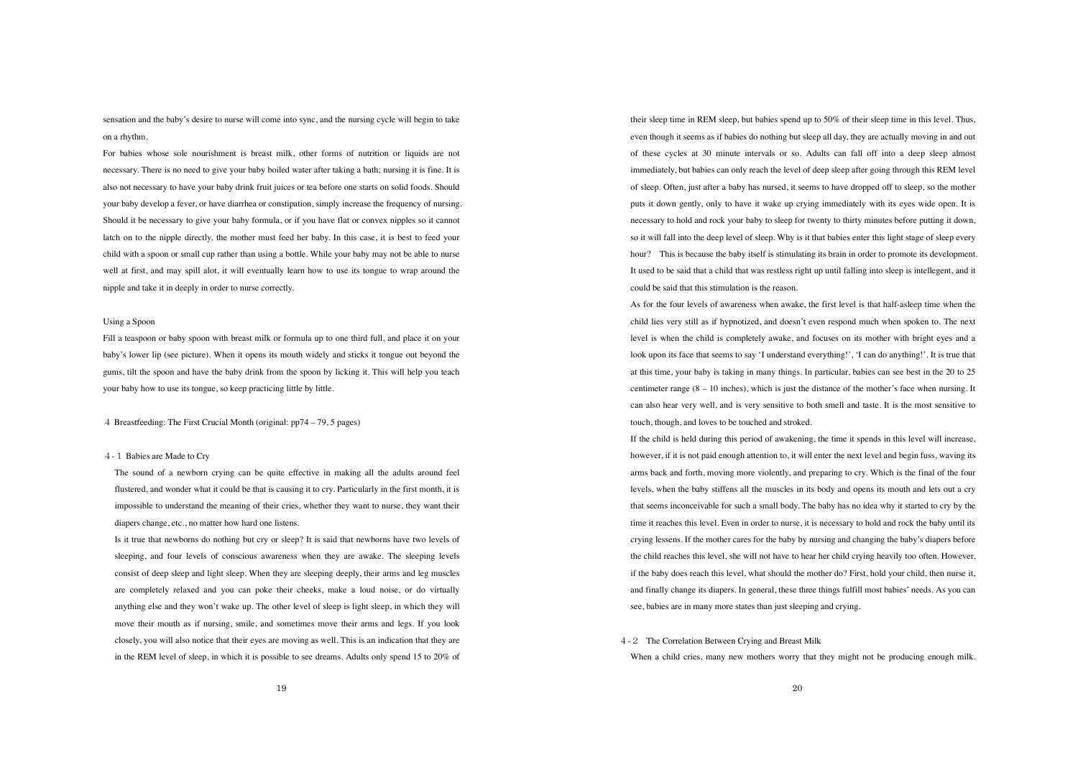sensation and the baby's desire to nurse will come into sync, and the nursing cycle will begin to take on a rhythm.

For babies whose sole nourishment is breast milk, other forms of nutrition or liquids are not necessary. There is no need to give your baby boiled water after taking a bath; nursing it is fine. It is also not necessary to have your baby drink fruit juices or tea before one starts on solid foods. Should your baby develop a fever, or have diarrhea or constipation, simply increase the frequency of nursing. Should it be necessary to give your baby formula, or if you have flat or convex nipples so it cannot latch on to the nipple directly, the mother must feed her baby. In this case, it is best to feed your child with a spoon or small cup rather than using a bottle. While your baby may not be able to nurse well at first, and may spill alot, it will eventually learn how to use its tongue to wrap around the nipple and take it in deeply in order to nurse correctly.

# Using a Spoon

Fill a teaspoon or baby spoon with breast milk or formula up to one third full, and place it on your baby's lower lip (see picture). When it opens its mouth widely and sticks it tongue out beyond the gums, tilt the spoon and have the baby drink from the spoon by licking it. This will help you teach your baby how to use its tongue, so keep practicing little by little.

Breastfeeding: The First Crucial Month (original: pp74 – 79, 5 pages)

#### 4 - 1 Babies are Made to Cry

The sound of a newborn crying can be quite effective in making all the adults around feel flustered, and wonder what it could be that is causing it to cry. Particularly in the first month, it is impossible to understand the meaning of their cries, whether they want to nurse, they want their diapers change, etc., no matter how hard one listens.

Is it true that newborns do nothing but cry or sleep? It is said that newborns have two levels of sleeping, and four levels of conscious awareness when they are awake. The sleeping levels consist of deep sleep and light sleep. When they are sleeping deeply, their arms and leg muscles are completely relaxed and you can poke their cheeks, make a loud noise, or do virtually anything else and they won't wake up. The other level of sleep is light sleep, in which they will move their mouth as if nursing, smile, and sometimes move their arms and legs. If you look closely, you will also notice that their eyes are moving as well. This is an indication that they are in the REM level of sleep, in which it is possible to see dreams. Adults only spend 15 to 20% of

their sleep time in REM sleep, but babies spend up to 50% of their sleep time in this level. Thus, even though it seems as if babies do nothing but sleep all day, they are actually moving in and out of these cycles at 30 minute intervals or so. Adults can fall off into a deep sleep almost immediately, but babies can only reach the level of deep sleep after going through this REM level of sleep. Often, just after a baby has nursed, it seems to have dropped off to sleep, so the mother puts it down gently, only to have it wake up crying immediately with its eyes wide open. It is necessary to hold and rock your baby to sleep for twenty to thirty minutes before putting it down, so it will fall into the deep level of sleep. Why is it that babies enter this light stage of sleep every hour? This is because the baby itself is stimulating its brain in order to promote its development. It used to be said that a child that was restless right up until falling into sleep is intellegent, and it could be said that this stimulation is the reason.

As for the four levels of awareness when awake, the first level is that half-asleep time when the child lies very still as if hypnotized, and doesn't even respond much when spoken to. The next level is when the child is completely awake, and focuses on its mother with bright eyes and a look upon its face that seems to say 'I understand everything!', 'I can do anything!'. It is true that at this time, your baby is taking in many things. In particular, babies can see best in the 20 to 25 centimeter range  $(8 - 10)$  inches), which is just the distance of the mother's face when nursing. It can also hear very well, and is very sensitive to both smell and taste. It is the most sensitive to touch, though, and loves to be touched and stroked.

If the child is held during this period of awakening, the time it spends in this level will increase, however, if it is not paid enough attention to, it will enter the next level and begin fuss, waving its arms back and forth, moving more violently, and preparing to cry. Which is the final of the four levels, when the baby stiffens all the muscles in its body and opens its mouth and lets out a cry that seems inconceivable for such a small body. The baby has no idea why it started to cry by the time it reaches this level. Even in order to nurse, it is necessary to hold and rock the baby until its crying lessens. If the mother cares for the baby by nursing and changing the baby's diapers before the child reaches this level, she will not have to hear her child crying heavily too often. However, if the baby does reach this level, what should the mother do? First, hold your child, then nurse it, and finally change its diapers. In general, these three things fulfill most babies' needs. As you can see, babies are in many more states than just sleeping and crying.

### - The Correlation Between Crying and Breast Milk

When a child cries, many new mothers worry that they might not be producing enough milk.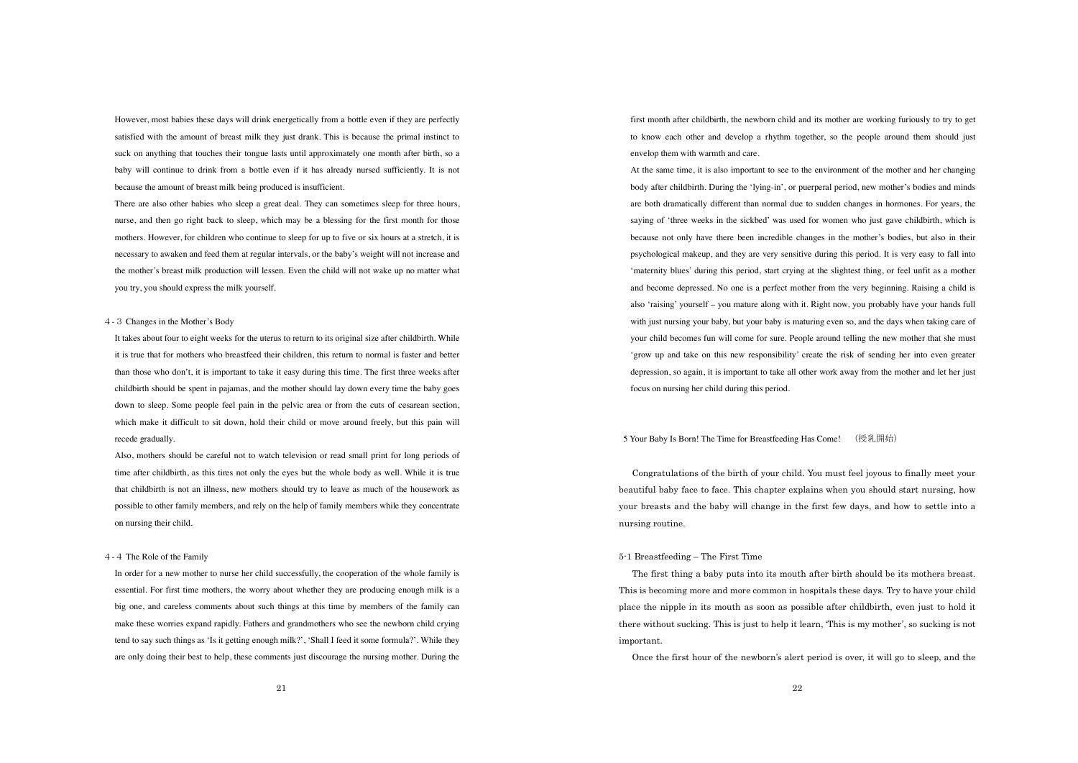However, most babies these days will drink energetically from a bottle even if they are perfectly satisfied with the amount of breast milk they just drank. This is because the primal instinct to suck on anything that touches their tongue lasts until approximately one month after birth, so a baby will continue to drink from a bottle even if it has already nursed sufficiently. It is not because the amount of breast milk being produced is insufficient.

There are also other babies who sleep a great deal. They can sometimes sleep for three hours, nurse, and then go right back to sleep, which may be a blessing for the first month for those mothers. However, for children who continue to sleep for up to five or six hours at a stretch, it is necessary to awaken and feed them at regular intervals, or the baby's weight will not increase and the mother's breast milk production will lessen. Even the child will not wake up no matter what you try, you should express the milk yourself.

# - Changes in the Mother's Body

It takes about four to eight weeks for the uterus to return to its original size after childbirth. While it is true that for mothers who breastfeed their children, this return to normal is faster and better than those who don't, it is important to take it easy during this time. The first three weeks after childbirth should be spent in pajamas, and the mother should lay down every time the baby goes down to sleep. Some people feel pain in the pelvic area or from the cuts of cesarean section, which make it difficult to sit down, hold their child or move around freely, but this pain will recede gradually.

Also, mothers should be careful not to watch television or read small print for long periods of time after childbirth, as this tires not only the eyes but the whole body as well. While it is true that childbirth is not an illness, new mothers should try to leave as much of the housework as possible to other family members, and rely on the help of family members while they concentrate on nursing their child.

## - The Role of the Family

In order for a new mother to nurse her child successfully, the cooperation of the whole family is essential. For first time mothers, the worry about whether they are producing enough milk is a big one, and careless comments about such things at this time by members of the family can make these worries expand rapidly. Fathers and grandmothers who see the newborn child crying tend to say such things as 'Is it getting enough milk?', 'Shall I feed it some formula?'. While they are only doing their best to help, these comments just discourage the nursing mother. During the

first month after childbirth, the newborn child and its mother are working furiously to try to get to know each other and develop a rhythm together, so the people around them should just envelop them with warmth and care.

At the same time, it is also important to see to the environment of the mother and her changing body after childbirth. During the 'lying-in', or puerperal period, new mother's bodies and minds are both dramatically different than normal due to sudden changes in hormones. For years, the saying of 'three weeks in the sickbed' was used for women who just gave childbirth, which is because not only have there been incredible changes in the mother's bodies, but also in their psychological makeup, and they are very sensitive during this period. It is very easy to fall into 'maternity blues' during this period, start crying at the slightest thing, or feel unfit as a mother and become depressed. No one is a perfect mother from the very beginning. Raising a child is also 'raising' yourself – you mature along with it. Right now, you probably have your hands full with just nursing your baby, but your baby is maturing even so, and the days when taking care of your child becomes fun will come for sure. People around telling the new mother that she must 'grow up and take on this new responsibility' create the risk of sending her into even greater depression, so again, it is important to take all other work away from the mother and let her just focus on nursing her child during this period.

### 5 Your Baby Is Born! The Time for Breastfeeding Has Come! (授乳開始)

 Congratulations of the birth of your child. You must feel joyous to finally meet your beautiful baby face to face. This chapter explains when you should start nursing, how your breasts and the baby will change in the first few days, and how to settle into a nursing routine.

## 5-1 Breastfeeding – The First Time

 The first thing a baby puts into its mouth after birth should be its mothers breast. This is becoming more and more common in hospitals these days. Try to have your child place the nipple in its mouth as soon as possible after childbirth, even just to hold it there without sucking. This is just to help it learn, 'This is my mother', so sucking is not important.

Once the first hour of the newborn's alert period is over, it will go to sleep, and the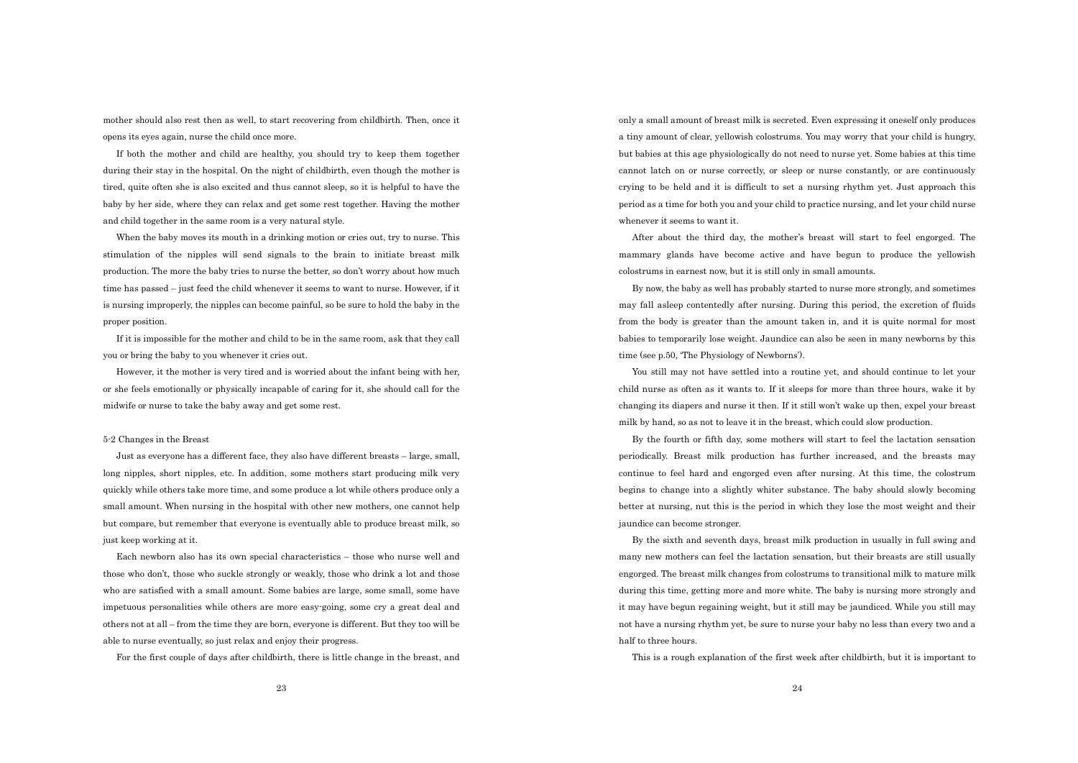mother should also rest then as well, to start recovering from childbirth. Then, once it opens its eyes again, nurse the child once more.

 If both the mother and child are healthy, you should try to keep them together during their stay in the hospital. On the night of childbirth, even though the mother is tired, quite often she is also excited and thus cannot sleep, so it is helpful to have the baby by her side, where they can relax and get some rest together. Having the mother and child together in the same room is a very natural style.

 When the baby moves its mouth in a drinking motion or cries out, try to nurse. This stimulation of the nipples will send signals to the brain to initiate breast milk production. The more the baby tries to nurse the better, so don't worry about how much time has passed – just feed the child whenever it seems to want to nurse. However, if it is nursing improperly, the nipples can become painful, so be sure to hold the baby in the proper position.

 If it is impossible for the mother and child to be in the same room, ask that they call you or bring the baby to you whenever it cries out.

 However, it the mother is very tired and is worried about the infant being with her, or she feels emotionally or physically incapable of caring for it, she should call for the midwife or nurse to take the baby away and get some rest.

# 5-2 Changes in the Breast

 Just as everyone has a different face, they also have different breasts – large, small, long nipples, short nipples, etc. In addition, some mothers start producing milk very quickly while others take more time, and some produce a lot while others produce only a small amount. When nursing in the hospital with other new mothers, one cannot help but compare, but remember that everyone is eventually able to produce breast milk, so just keep working at it.

 Each newborn also has its own special characteristics – those who nurse well and those who don't, those who suckle strongly or weakly, those who drink a lot and those who are satisfied with a small amount. Some babies are large, some small, some have impetuous personalities while others are more easy-going, some cry a great deal and others not at all – from the time they are born, everyone is different. But they too will be able to nurse eventually, so just relax and enjoy their progress.

For the first couple of days after childbirth, there is little change in the breast, and

only a small amount of breast milk is secreted. Even expressing it oneself only produces a tiny amount of clear, yellowish colostrums. You may worry that your child is hungry, but babies at this age physiologically do not need to nurse yet. Some babies at this time cannot latch on or nurse correctly, or sleep or nurse constantly, or are continuously crying to be held and it is difficult to set a nursing rhythm yet. Just approach this period as a time for both you and your child to practice nursing, and let your child nurse whenever it seems to want it.

 After about the third day, the mother's breast will start to feel engorged. The mammary glands have become active and have begun to produce the yellowish colostrums in earnest now, but it is still only in small amounts.

 By now, the baby as well has probably started to nurse more strongly, and sometimes may fall asleep contentedly after nursing. During this period, the excretion of fluids from the body is greater than the amount taken in, and it is quite normal for most babies to temporarily lose weight. Jaundice can also be seen in many newborns by this time (see p.50, 'The Physiology of Newborns').

 You still may not have settled into a routine yet, and should continue to let your child nurse as often as it wants to. If it sleeps for more than three hours, wake it by changing its diapers and nurse it then. If it still won't wake up then, expel your breast milk by hand, so as not to leave it in the breast, which could slow production.

 By the fourth or fifth day, some mothers will start to feel the lactation sensation periodically. Breast milk production has further increased, and the breasts may continue to feel hard and engorged even after nursing. At this time, the colostrum begins to change into a slightly whiter substance. The baby should slowly becoming better at nursing, nut this is the period in which they lose the most weight and their jaundice can become stronger.

 By the sixth and seventh days, breast milk production in usually in full swing and many new mothers can feel the lactation sensation, but their breasts are still usually engorged. The breast milk changes from colostrums to transitional milk to mature milk during this time, getting more and more white. The baby is nursing more strongly and it may have begun regaining weight, but it still may be jaundiced. While you still may not have a nursing rhythm yet, be sure to nurse your baby no less than every two and a half to three hours.

This is a rough explanation of the first week after childbirth, but it is important to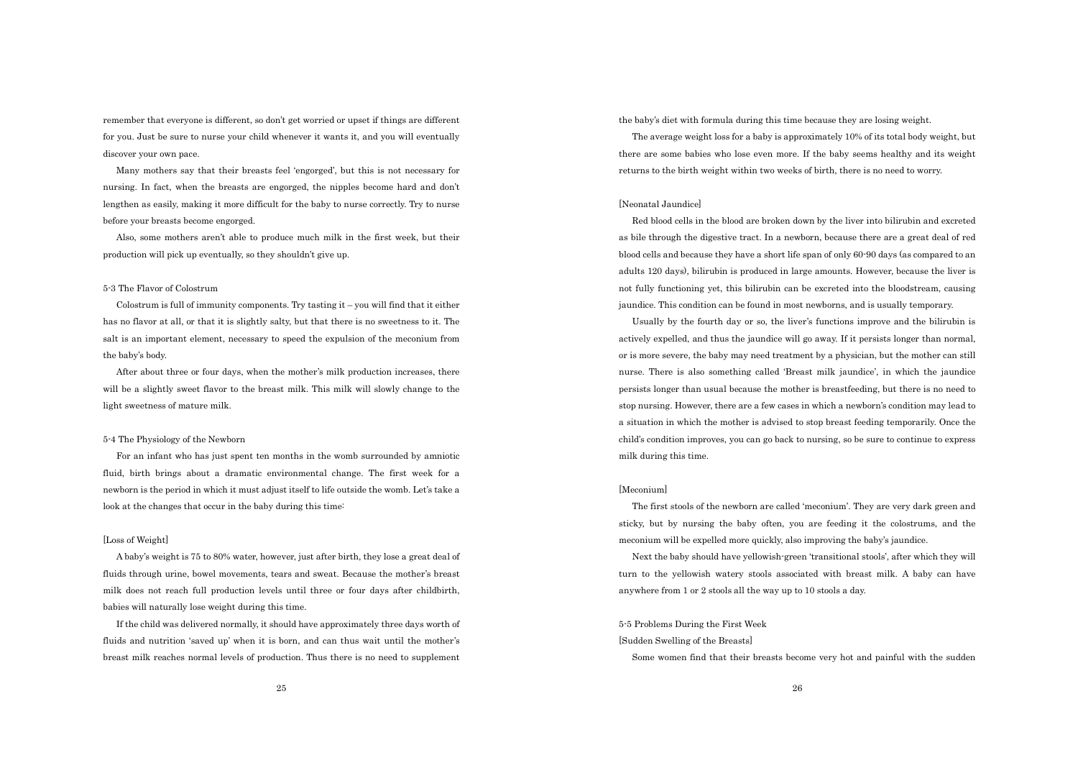remember that everyone is different, so don't get worried or upset if things are different for you. Just be sure to nurse your child whenever it wants it, and you will eventually discover your own pace.

 Many mothers say that their breasts feel 'engorged', but this is not necessary for nursing. In fact, when the breasts are engorged, the nipples become hard and don't lengthen as easily, making it more difficult for the baby to nurse correctly. Try to nurse before your breasts become engorged.

 Also, some mothers aren't able to produce much milk in the first week, but their production will pick up eventually, so they shouldn't give up.

### 5-3 The Flavor of Colostrum

 Colostrum is full of immunity components. Try tasting it – you will find that it either has no flavor at all, or that it is slightly salty, but that there is no sweetness to it. The salt is an important element, necessary to speed the expulsion of the meconium from the baby's body.

 After about three or four days, when the mother's milk production increases, there will be a slightly sweet flavor to the breast milk. This milk will slowly change to the light sweetness of mature milk.

# 5-4 The Physiology of the Newborn

 For an infant who has just spent ten months in the womb surrounded by amniotic fluid, birth brings about a dramatic environmental change. The first week for a newborn is the period in which it must adjust itself to life outside the womb. Let's take a look at the changes that occur in the baby during this time:

### [Loss of Weight]

 A baby's weight is 75 to 80% water, however, just after birth, they lose a great deal of fluids through urine, bowel movements, tears and sweat. Because the mother's breast milk does not reach full production levels until three or four days after childbirth, babies will naturally lose weight during this time.

 If the child was delivered normally, it should have approximately three days worth of fluids and nutrition 'saved up' when it is born, and can thus wait until the mother's breast milk reaches normal levels of production. Thus there is no need to supplement the baby's diet with formula during this time because they are losing weight.

 The average weight loss for a baby is approximately 10% of its total body weight, but there are some babies who lose even more. If the baby seems healthy and its weight returns to the birth weight within two weeks of birth, there is no need to worry.

### [Neonatal Jaundice]

 Red blood cells in the blood are broken down by the liver into bilirubin and excreted as bile through the digestive tract. In a newborn, because there are a great deal of red blood cells and because they have a short life span of only 60-90 days (as compared to an adults 120 days), bilirubin is produced in large amounts. However, because the liver is not fully functioning yet, this bilirubin can be excreted into the bloodstream, causing jaundice. This condition can be found in most newborns, and is usually temporary.

 Usually by the fourth day or so, the liver's functions improve and the bilirubin is actively expelled, and thus the jaundice will go away. If it persists longer than normal, or is more severe, the baby may need treatment by a physician, but the mother can still nurse. There is also something called 'Breast milk jaundice', in which the jaundice persists longer than usual because the mother is breastfeeding, but there is no need to stop nursing. However, there are a few cases in which a newborn's condition may lead to a situation in which the mother is advised to stop breast feeding temporarily. Once the child's condition improves, you can go back to nursing, so be sure to continue to express milk during this time.

#### [Meconium]

 The first stools of the newborn are called 'meconium'. They are very dark green and sticky, but by nursing the baby often, you are feeding it the colostrums, and the meconium will be expelled more quickly, also improving the baby's jaundice.

 Next the baby should have yellowish-green 'transitional stools', after which they will turn to the yellowish watery stools associated with breast milk. A baby can have anywhere from 1 or 2 stools all the way up to 10 stools a day.

# 5-5 Problems During the First Week

### [Sudden Swelling of the Breasts]

Some women find that their breasts become very hot and painful with the sudden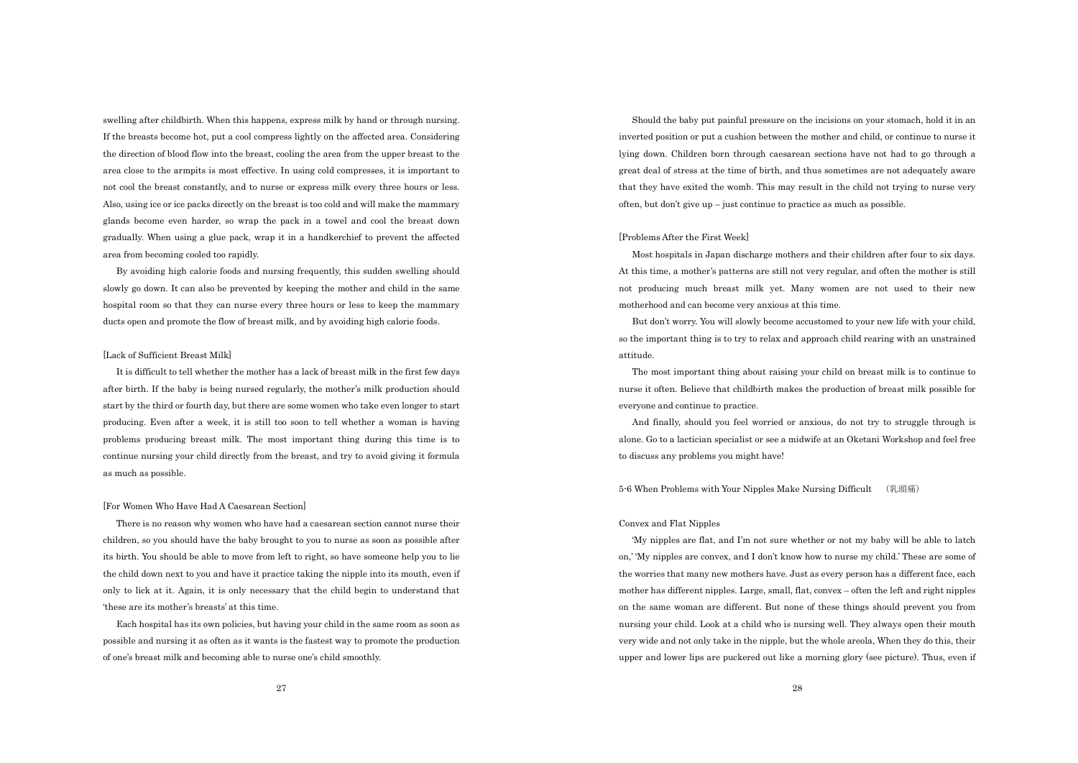swelling after childbirth. When this happens, express milk by hand or through nursing. If the breasts become hot, put a cool compress lightly on the affected area. Considering the direction of blood flow into the breast, cooling the area from the upper breast to the area close to the armpits is most effective. In using cold compresses, it is important to not cool the breast constantly, and to nurse or express milk every three hours or less. Also, using ice or ice packs directly on the breast is too cold and will make the mammary glands become even harder, so wrap the pack in a towel and cool the breast down gradually. When using a glue pack, wrap it in a handkerchief to prevent the affected area from becoming cooled too rapidly.

 By avoiding high calorie foods and nursing frequently, this sudden swelling should slowly go down. It can also be prevented by keeping the mother and child in the same hospital room so that they can nurse every three hours or less to keep the mammary ducts open and promote the flow of breast milk, and by avoiding high calorie foods.

## [Lack of Sufficient Breast Milk]

 It is difficult to tell whether the mother has a lack of breast milk in the first few days after birth. If the baby is being nursed regularly, the mother's milk production should start by the third or fourth day, but there are some women who take even longer to start producing. Even after a week, it is still too soon to tell whether a woman is having problems producing breast milk. The most important thing during this time is to continue nursing your child directly from the breast, and try to avoid giving it formula as much as possible.

## [For Women Who Have Had A Caesarean Section]

 There is no reason why women who have had a caesarean section cannot nurse their children, so you should have the baby brought to you to nurse as soon as possible after its birth. You should be able to move from left to right, so have someone help you to lie the child down next to you and have it practice taking the nipple into its mouth, even if only to lick at it. Again, it is only necessary that the child begin to understand that 'these are its mother's breasts' at this time.

 Each hospital has its own policies, but having your child in the same room as soon as possible and nursing it as often as it wants is the fastest way to promote the production of one's breast milk and becoming able to nurse one's child smoothly.

 Should the baby put painful pressure on the incisions on your stomach, hold it in an inverted position or put a cushion between the mother and child, or continue to nurse it lying down. Children born through caesarean sections have not had to go through a great deal of stress at the time of birth, and thus sometimes are not adequately aware that they have exited the womb. This may result in the child not trying to nurse very often, but don't give up – just continue to practice as much as possible.

#### [Problems After the First Week]

 Most hospitals in Japan discharge mothers and their children after four to six days. At this time, a mother's patterns are still not very regular, and often the mother is still not producing much breast milk yet. Many women are not used to their new motherhood and can become very anxious at this time.

 But don't worry. You will slowly become accustomed to your new life with your child, so the important thing is to try to relax and approach child rearing with an unstrained attitude.

 The most important thing about raising your child on breast milk is to continue to nurse it often. Believe that childbirth makes the production of breast milk possible for everyone and continue to practice.

 And finally, should you feel worried or anxious, do not try to struggle through is alone. Go to a lactician specialist or see a midwife at an Oketani Workshop and feel free to discuss any problems you might have!

5-6 When Problems with Your Nipples Make Nursing Difficult

#### Convex and Flat Nipples

 'My nipples are flat, and I'm not sure whether or not my baby will be able to latch on,' 'My nipples are convex, and I don't know how to nurse my child.' These are some of the worries that many new mothers have. Just as every person has a different face, each mother has different nipples. Large, small, flat, convex – often the left and right nipples on the same woman are different. But none of these things should prevent you from nursing your child. Look at a child who is nursing well. They always open their mouth very wide and not only take in the nipple, but the whole areola, When they do this, their upper and lower lips are puckered out like a morning glory (see picture). Thus, even if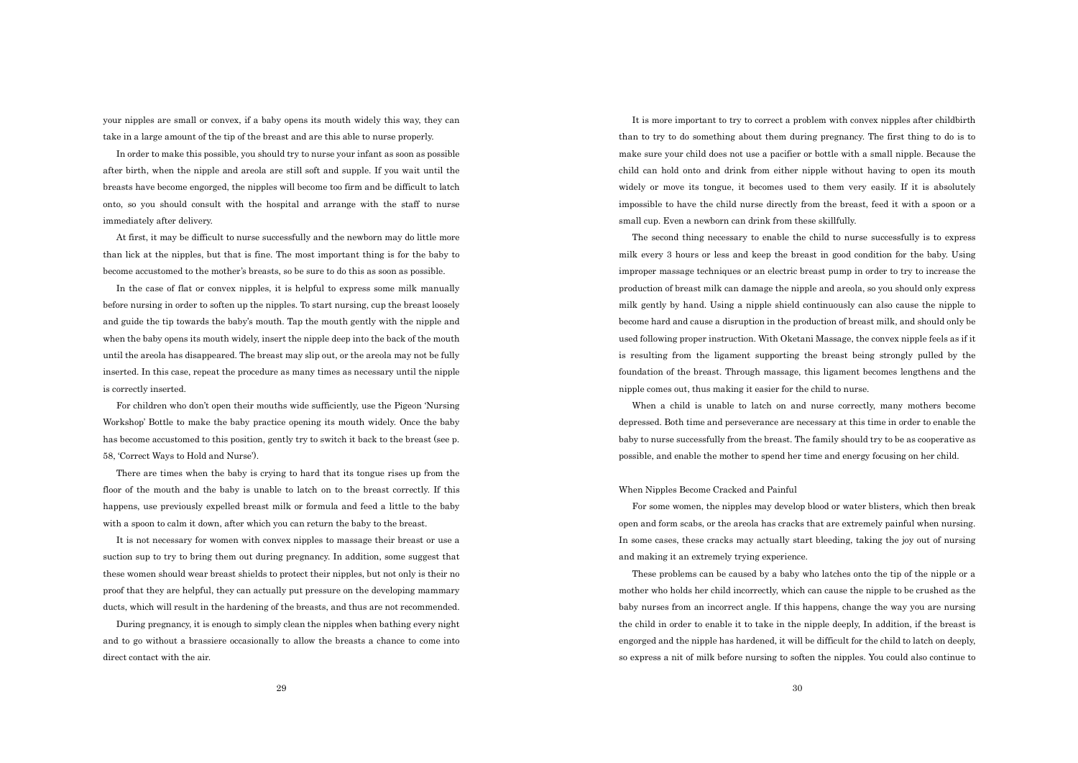your nipples are small or convex, if a baby opens its mouth widely this way, they can take in a large amount of the tip of the breast and are this able to nurse properly.

 In order to make this possible, you should try to nurse your infant as soon as possible after birth, when the nipple and areola are still soft and supple. If you wait until the breasts have become engorged, the nipples will become too firm and be difficult to latch onto, so you should consult with the hospital and arrange with the staff to nurse immediately after delivery.

 At first, it may be difficult to nurse successfully and the newborn may do little more than lick at the nipples, but that is fine. The most important thing is for the baby to become accustomed to the mother's breasts, so be sure to do this as soon as possible.

 In the case of flat or convex nipples, it is helpful to express some milk manually before nursing in order to soften up the nipples. To start nursing, cup the breast loosely and guide the tip towards the baby's mouth. Tap the mouth gently with the nipple and when the baby opens its mouth widely, insert the nipple deep into the back of the mouth until the areola has disappeared. The breast may slip out, or the areola may not be fully inserted. In this case, repeat the procedure as many times as necessary until the nipple is correctly inserted.

 For children who don't open their mouths wide sufficiently, use the Pigeon 'Nursing Workshop' Bottle to make the baby practice opening its mouth widely. Once the baby has become accustomed to this position, gently try to switch it back to the breast (see p. 58, 'Correct Ways to Hold and Nurse').

 There are times when the baby is crying to hard that its tongue rises up from the floor of the mouth and the baby is unable to latch on to the breast correctly. If this happens, use previously expelled breast milk or formula and feed a little to the baby with a spoon to calm it down, after which you can return the baby to the breast.

 It is not necessary for women with convex nipples to massage their breast or use a suction sup to try to bring them out during pregnancy. In addition, some suggest that these women should wear breast shields to protect their nipples, but not only is their no proof that they are helpful, they can actually put pressure on the developing mammary ducts, which will result in the hardening of the breasts, and thus are not recommended.

 During pregnancy, it is enough to simply clean the nipples when bathing every night and to go without a brassiere occasionally to allow the breasts a chance to come into direct contact with the air.

 It is more important to try to correct a problem with convex nipples after childbirth than to try to do something about them during pregnancy. The first thing to do is to make sure your child does not use a pacifier or bottle with a small nipple. Because the child can hold onto and drink from either nipple without having to open its mouth widely or move its tongue, it becomes used to them very easily. If it is absolutely impossible to have the child nurse directly from the breast, feed it with a spoon or a small cup. Even a newborn can drink from these skillfully.

 The second thing necessary to enable the child to nurse successfully is to express milk every 3 hours or less and keep the breast in good condition for the baby. Using improper massage techniques or an electric breast pump in order to try to increase the production of breast milk can damage the nipple and areola, so you should only express milk gently by hand. Using a nipple shield continuously can also cause the nipple to become hard and cause a disruption in the production of breast milk, and should only be used following proper instruction. With Oketani Massage, the convex nipple feels as if it is resulting from the ligament supporting the breast being strongly pulled by the foundation of the breast. Through massage, this ligament becomes lengthens and the nipple comes out, thus making it easier for the child to nurse.

 When a child is unable to latch on and nurse correctly, many mothers become depressed. Both time and perseverance are necessary at this time in order to enable the baby to nurse successfully from the breast. The family should try to be as cooperative as possible, and enable the mother to spend her time and energy focusing on her child.

#### When Nipples Become Cracked and Painful

 For some women, the nipples may develop blood or water blisters, which then break open and form scabs, or the areola has cracks that are extremely painful when nursing. In some cases, these cracks may actually start bleeding, taking the joy out of nursing and making it an extremely trying experience.

 These problems can be caused by a baby who latches onto the tip of the nipple or a mother who holds her child incorrectly, which can cause the nipple to be crushed as the baby nurses from an incorrect angle. If this happens, change the way you are nursing the child in order to enable it to take in the nipple deeply, In addition, if the breast is engorged and the nipple has hardened, it will be difficult for the child to latch on deeply so express a nit of milk before nursing to soften the nipples. You could also continue to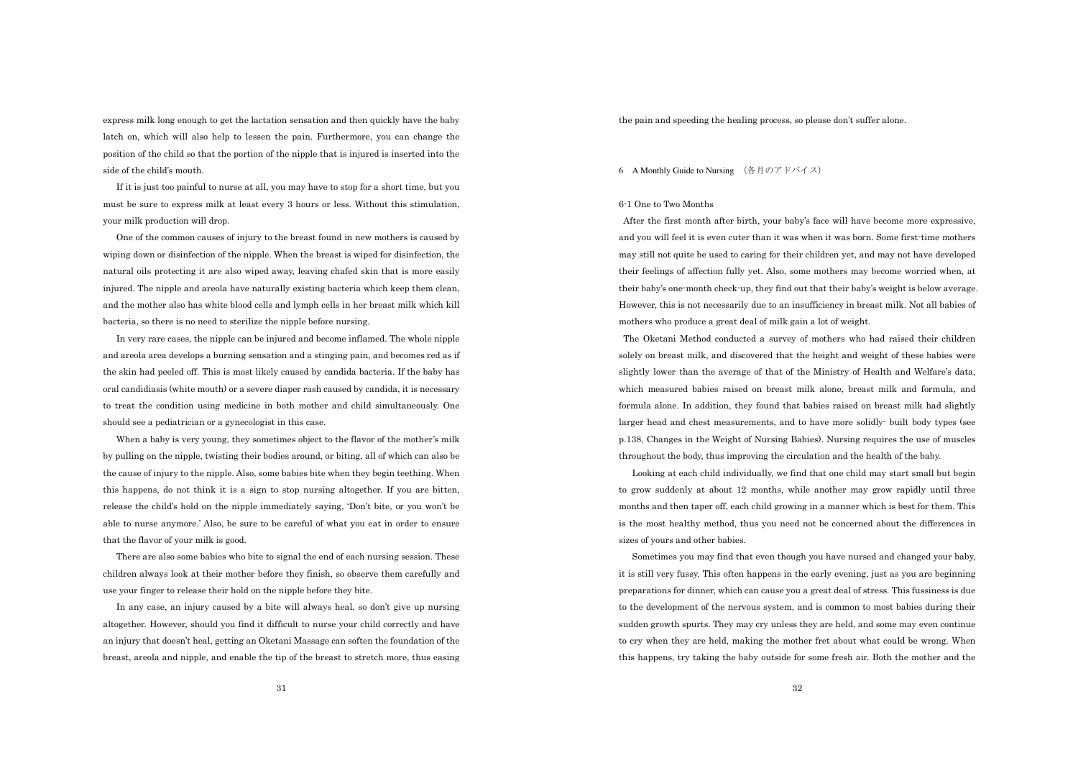express milk long enough to get the lactation sensation and then quickly have the baby latch on, which will also help to lessen the pain. Furthermore, you can change the position of the child so that the portion of the nipple that is injured is inserted into the side of the child's mouth.

 If it is just too painful to nurse at all, you may have to stop for a short time, but you must be sure to express milk at least every 3 hours or less. Without this stimulation, your milk production will drop.

 One of the common causes of injury to the breast found in new mothers is caused by wiping down or disinfection of the nipple. When the breast is wiped for disinfection, the natural oils protecting it are also wiped away, leaving chafed skin that is more easily injured. The nipple and areola have naturally existing bacteria which keep them clean, and the mother also has white blood cells and lymph cells in her breast milk which kill bacteria, so there is no need to sterilize the nipple before nursing.

 In very rare cases, the nipple can be injured and become inflamed. The whole nipple and areola area develops a burning sensation and a stinging pain, and becomes red as if the skin had peeled off. This is most likely caused by candida bacteria. If the baby has oral candidiasis (white mouth) or a severe diaper rash caused by candida, it is necessary to treat the condition using medicine in both mother and child simultaneously. One should see a pediatrician or a gynecologist in this case.

When a baby is very young, they sometimes object to the flavor of the mother's milk by pulling on the nipple, twisting their bodies around, or biting, all of which can also be the cause of injury to the nipple. Also, some babies bite when they begin teething. When this happens, do not think it is a sign to stop nursing altogether. If you are bitten, release the child's hold on the nipple immediately saying, 'Don't bite, or you won't be able to nurse anymore.' Also, be sure to be careful of what you eat in order to ensure that the flavor of your milk is good.

 There are also some babies who bite to signal the end of each nursing session. These children always look at their mother before they finish, so observe them carefully and use your finger to release their hold on the nipple before they bite.

 In any case, an injury caused by a bite will always heal, so don't give up nursing altogether. However, should you find it difficult to nurse your child correctly and have an injury that doesn't heal, getting an Oketani Massage can soften the foundation of the breast, areola and nipple, and enable the tip of the breast to stretch more, thus easing the pain and speeding the healing process, so please don't suffer alone.

6 A Monthly Guide to Nursing (各月のアドバイス)

# 6-1 One to Two Months

After the first month after birth, your baby's face will have become more expressive, and you will feel it is even cuter than it was when it was born. Some first-time mothers may still not quite be used to caring for their children yet, and may not have developed their feelings of affection fully yet. Also, some mothers may become worried when, at their baby's one-month check-up, they find out that their baby's weight is below average. However, this is not necessarily due to an insufficiency in breast milk. Not all babies of mothers who produce a great deal of milk gain a lot of weight.

The Oketani Method conducted a survey of mothers who had raised their children solely on breast milk, and discovered that the height and weight of these babies were slightly lower than the average of that of the Ministry of Health and Welfare's data, which measured babies raised on breast milk alone, breast milk and formula, and formula alone. In addition, they found that babies raised on breast milk had slightly larger head and chest measurements, and to have more solidly- built body types (see p.138, Changes in the Weight of Nursing Babies). Nursing requires the use of muscles throughout the body, thus improving the circulation and the health of the baby.

 Looking at each child individually, we find that one child may start small but begin to grow suddenly at about 12 months, while another may grow rapidly until three months and then taper off, each child growing in a manner which is best for them. This is the most healthy method, thus you need not be concerned about the differences in sizes of yours and other babies.

 Sometimes you may find that even though you have nursed and changed your baby, it is still very fussy. This often happens in the early evening, just as you are beginning preparations for dinner, which can cause you a great deal of stress. This fussiness is due to the development of the nervous system, and is common to most babies during their sudden growth spurts. They may cry unless they are held, and some may even continue to cry when they are held, making the mother fret about what could be wrong. When this happens, try taking the baby outside for some fresh air. Both the mother and the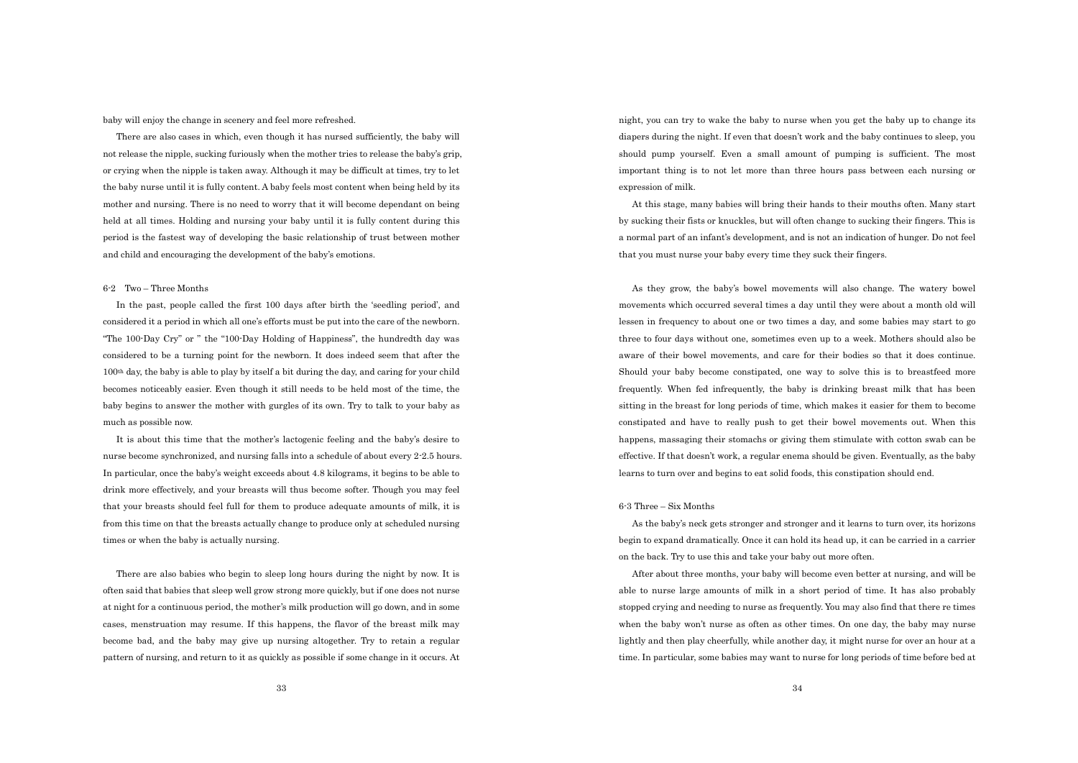baby will enjoy the change in scenery and feel more refreshed.

 There are also cases in which, even though it has nursed sufficiently, the baby will not release the nipple, sucking furiously when the mother tries to release the baby's grip, or crying when the nipple is taken away. Although it may be difficult at times, try to let the baby nurse until it is fully content. A baby feels most content when being held by its mother and nursing. There is no need to worry that it will become dependant on being held at all times. Holding and nursing your baby until it is fully content during this period is the fastest way of developing the basic relationship of trust between mother and child and encouraging the development of the baby's emotions.

# 6-2 Two – Three Months

 In the past, people called the first 100 days after birth the 'seedling period', and considered it a period in which all one's efforts must be put into the care of the newborn. "The 100-Day Cry" or " the "100-Day Holding of Happiness", the hundredth day was considered to be a turning point for the newborn. It does indeed seem that after the 100th day, the baby is able to play by itself a bit during the day, and caring for your child becomes noticeably easier. Even though it still needs to be held most of the time, the baby begins to answer the mother with gurgles of its own. Try to talk to your baby as much as possible now.

 It is about this time that the mother's lactogenic feeling and the baby's desire to nurse become synchronized, and nursing falls into a schedule of about every 2-2.5 hours. In particular, once the baby's weight exceeds about 4.8 kilograms, it begins to be able to drink more effectively, and your breasts will thus become softer. Though you may feel that your breasts should feel full for them to produce adequate amounts of milk, it is from this time on that the breasts actually change to produce only at scheduled nursing times or when the baby is actually nursing.

 There are also babies who begin to sleep long hours during the night by now. It is often said that babies that sleep well grow strong more quickly, but if one does not nurse at night for a continuous period, the mother's milk production will go down, and in some cases, menstruation may resume. If this happens, the flavor of the breast milk may become bad, and the baby may give up nursing altogether. Try to retain a regular pattern of nursing, and return to it as quickly as possible if some change in it occurs. At night, you can try to wake the baby to nurse when you get the baby up to change its diapers during the night. If even that doesn't work and the baby continues to sleep, you should pump yourself. Even a small amount of pumping is sufficient. The most important thing is to not let more than three hours pass between each nursing or expression of milk.

 At this stage, many babies will bring their hands to their mouths often. Many start by sucking their fists or knuckles, but will often change to sucking their fingers. This is a normal part of an infant's development, and is not an indication of hunger. Do not feel that you must nurse your baby every time they suck their fingers.

 As they grow, the baby's bowel movements will also change. The watery bowel movements which occurred several times a day until they were about a month old will lessen in frequency to about one or two times a day, and some babies may start to go three to four days without one, sometimes even up to a week. Mothers should also be aware of their bowel movements, and care for their bodies so that it does continue. Should your baby become constipated, one way to solve this is to breastfeed more frequently. When fed infrequently, the baby is drinking breast milk that has been sitting in the breast for long periods of time, which makes it easier for them to become constipated and have to really push to get their bowel movements out. When this happens, massaging their stomachs or giving them stimulate with cotton swab can be effective. If that doesn't work, a regular enema should be given. Eventually, as the baby learns to turn over and begins to eat solid foods, this constipation should end.

# 6-3 Three – Six Months

 As the baby's neck gets stronger and stronger and it learns to turn over, its horizons begin to expand dramatically. Once it can hold its head up, it can be carried in a carrier on the back. Try to use this and take your baby out more often.

 After about three months, your baby will become even better at nursing, and will be able to nurse large amounts of milk in a short period of time. It has also probably stopped crying and needing to nurse as frequently. You may also find that there re times when the baby won't nurse as often as other times. On one day, the baby may nurse lightly and then play cheerfully, while another day, it might nurse for over an hour at a time. In particular, some babies may want to nurse for long periods of time before bed at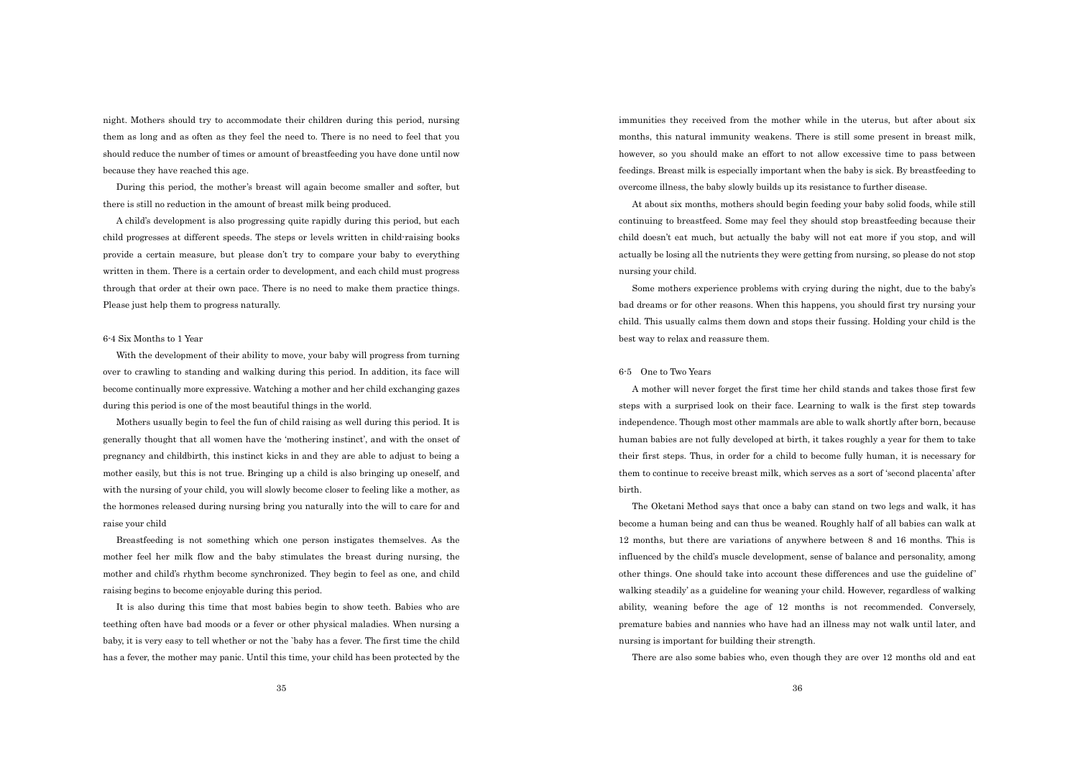night. Mothers should try to accommodate their children during this period, nursing them as long and as often as they feel the need to. There is no need to feel that you should reduce the number of times or amount of breastfeeding you have done until now because they have reached this age.

 During this period, the mother's breast will again become smaller and softer, but there is still no reduction in the amount of breast milk being produced.

 A child's development is also progressing quite rapidly during this period, but each child progresses at different speeds. The steps or levels written in child-raising books provide a certain measure, but please don't try to compare your baby to everything written in them. There is a certain order to development, and each child must progress through that order at their own pace. There is no need to make them practice things. Please just help them to progress naturally.

## 6-4 Six Months to 1 Year

 With the development of their ability to move, your baby will progress from turning over to crawling to standing and walking during this period. In addition, its face will become continually more expressive. Watching a mother and her child exchanging gazes during this period is one of the most beautiful things in the world.

 Mothers usually begin to feel the fun of child raising as well during this period. It is generally thought that all women have the 'mothering instinct', and with the onset of pregnancy and childbirth, this instinct kicks in and they are able to adjust to being a mother easily, but this is not true. Bringing up a child is also bringing up oneself, and with the nursing of your child, you will slowly become closer to feeling like a mother, as the hormones released during nursing bring you naturally into the will to care for and raise your child

 Breastfeeding is not something which one person instigates themselves. As the mother feel her milk flow and the baby stimulates the breast during nursing, the mother and child's rhythm become synchronized. They begin to feel as one, and child raising begins to become enjoyable during this period.

 It is also during this time that most babies begin to show teeth. Babies who are teething often have bad moods or a fever or other physical maladies. When nursing a baby, it is very easy to tell whether or not the `baby has a fever. The first time the child has a fever, the mother may panic. Until this time, your child has been protected by the immunities they received from the mother while in the uterus, but after about six months, this natural immunity weakens. There is still some present in breast milk, however, so you should make an effort to not allow excessive time to pass between feedings. Breast milk is especially important when the baby is sick. By breastfeeding to overcome illness, the baby slowly builds up its resistance to further disease.

 At about six months, mothers should begin feeding your baby solid foods, while still continuing to breastfeed. Some may feel they should stop breastfeeding because their child doesn't eat much, but actually the baby will not eat more if you stop, and will actually be losing all the nutrients they were getting from nursing, so please do not stop nursing your child.

 Some mothers experience problems with crying during the night, due to the baby's bad dreams or for other reasons. When this happens, you should first try nursing your child. This usually calms them down and stops their fussing. Holding your child is the best way to relax and reassure them.

## 6-5 One to Two Years

 A mother will never forget the first time her child stands and takes those first few steps with a surprised look on their face. Learning to walk is the first step towards independence. Though most other mammals are able to walk shortly after born, because human babies are not fully developed at birth, it takes roughly a year for them to take their first steps. Thus, in order for a child to become fully human, it is necessary for them to continue to receive breast milk, which serves as a sort of 'second placenta' after birth.

 The Oketani Method says that once a baby can stand on two legs and walk, it has become a human being and can thus be weaned. Roughly half of all babies can walk at 12 months, but there are variations of anywhere between 8 and 16 months. This is influenced by the child's muscle development, sense of balance and personality, among other things. One should take into account these differences and use the guideline of' walking steadily' as a guideline for weaning your child. However, regardless of walking ability, weaning before the age of 12 months is not recommended. Conversely, premature babies and nannies who have had an illness may not walk until later, and nursing is important for building their strength.

There are also some babies who, even though they are over 12 months old and eat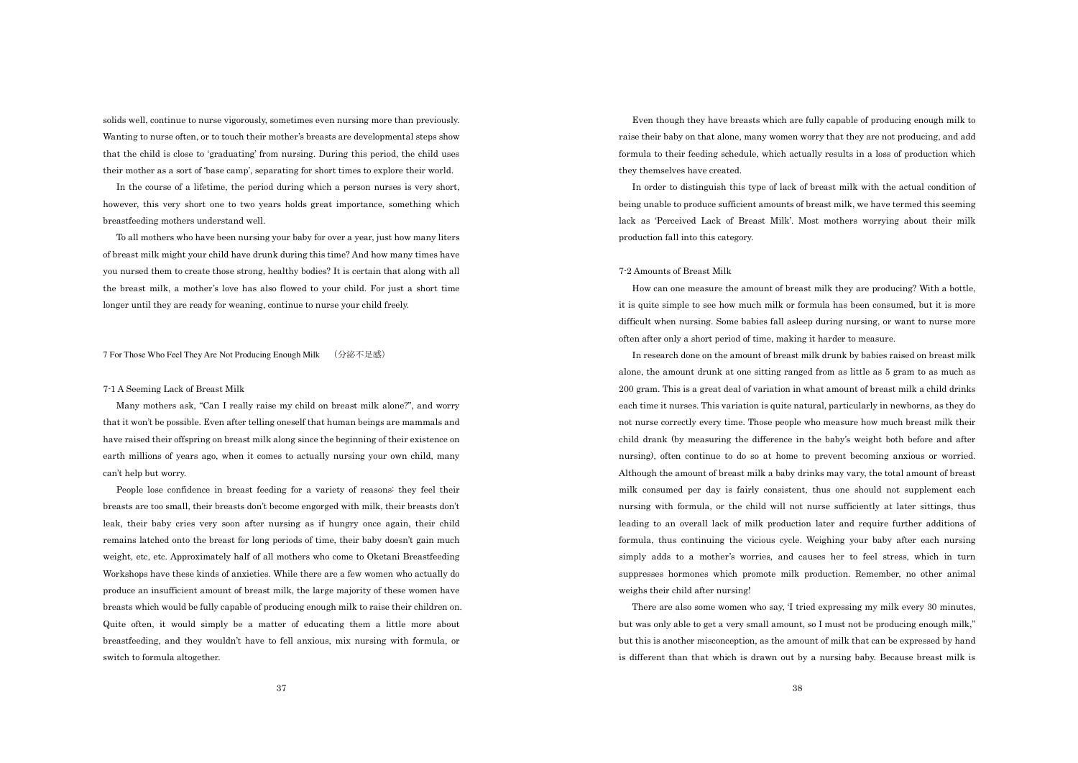solids well, continue to nurse vigorously, sometimes even nursing more than previously. Wanting to nurse often, or to touch their mother's breasts are developmental steps show that the child is close to 'graduating' from nursing. During this period, the child uses their mother as a sort of 'base camp', separating for short times to explore their world.

 In the course of a lifetime, the period during which a person nurses is very short, however, this very short one to two years holds great importance, something which breastfeeding mothers understand well.

 To all mothers who have been nursing your baby for over a year, just how many liters of breast milk might your child have drunk during this time? And how many times have you nursed them to create those strong, healthy bodies? It is certain that along with all the breast milk, a mother's love has also flowed to your child. For just a short time longer until they are ready for weaning, continue to nurse your child freely.

#### 7 For Those Who Feel They Are Not Producing Enough Milk

#### 7-1 A Seeming Lack of Breast Milk

 Many mothers ask, "Can I really raise my child on breast milk alone?", and worry that it won't be possible. Even after telling oneself that human beings are mammals and have raised their offspring on breast milk along since the beginning of their existence on earth millions of years ago, when it comes to actually nursing your own child, many can't help but worry.

 People lose confidence in breast feeding for a variety of reasons: they feel their breasts are too small, their breasts don't become engorged with milk, their breasts don't leak, their baby cries very soon after nursing as if hungry once again, their child remains latched onto the breast for long periods of time, their baby doesn't gain much weight, etc, etc. Approximately half of all mothers who come to Oketani Breastfeeding Workshops have these kinds of anxieties. While there are a few women who actually do produce an insufficient amount of breast milk, the large majority of these women have breasts which would be fully capable of producing enough milk to raise their children on. Quite often, it would simply be a matter of educating them a little more about breastfeeding, and they wouldn't have to fell anxious, mix nursing with formula, or switch to formula altogether.

 Even though they have breasts which are fully capable of producing enough milk to raise their baby on that alone, many women worry that they are not producing, and add formula to their feeding schedule, which actually results in a loss of production which they themselves have created.

 In order to distinguish this type of lack of breast milk with the actual condition of being unable to produce sufficient amounts of breast milk, we have termed this seeming lack as 'Perceived Lack of Breast Milk'. Most mothers worrying about their milk production fall into this category.

#### 7-2 Amounts of Breast Milk

 How can one measure the amount of breast milk they are producing? With a bottle, it is quite simple to see how much milk or formula has been consumed, but it is more difficult when nursing. Some babies fall asleep during nursing, or want to nurse more often after only a short period of time, making it harder to measure.

 In research done on the amount of breast milk drunk by babies raised on breast milk alone, the amount drunk at one sitting ranged from as little as 5 gram to as much as 200 gram. This is a great deal of variation in what amount of breast milk a child drinks each time it nurses. This variation is quite natural, particularly in newborns, as they do not nurse correctly every time. Those people who measure how much breast milk their child drank (by measuring the difference in the baby's weight both before and after nursing), often continue to do so at home to prevent becoming anxious or worried. Although the amount of breast milk a baby drinks may vary, the total amount of breast milk consumed per day is fairly consistent, thus one should not supplement each nursing with formula, or the child will not nurse sufficiently at later sittings, thus leading to an overall lack of milk production later and require further additions of formula, thus continuing the vicious cycle. Weighing your baby after each nursing simply adds to a mother's worries, and causes her to feel stress, which in turn suppresses hormones which promote milk production. Remember, no other animal weighs their child after nursing!

 There are also some women who say, 'I tried expressing my milk every 30 minutes, but was only able to get a very small amount, so I must not be producing enough milk," but this is another misconception, as the amount of milk that can be expressed by hand is different than that which is drawn out by a nursing baby. Because breast milk is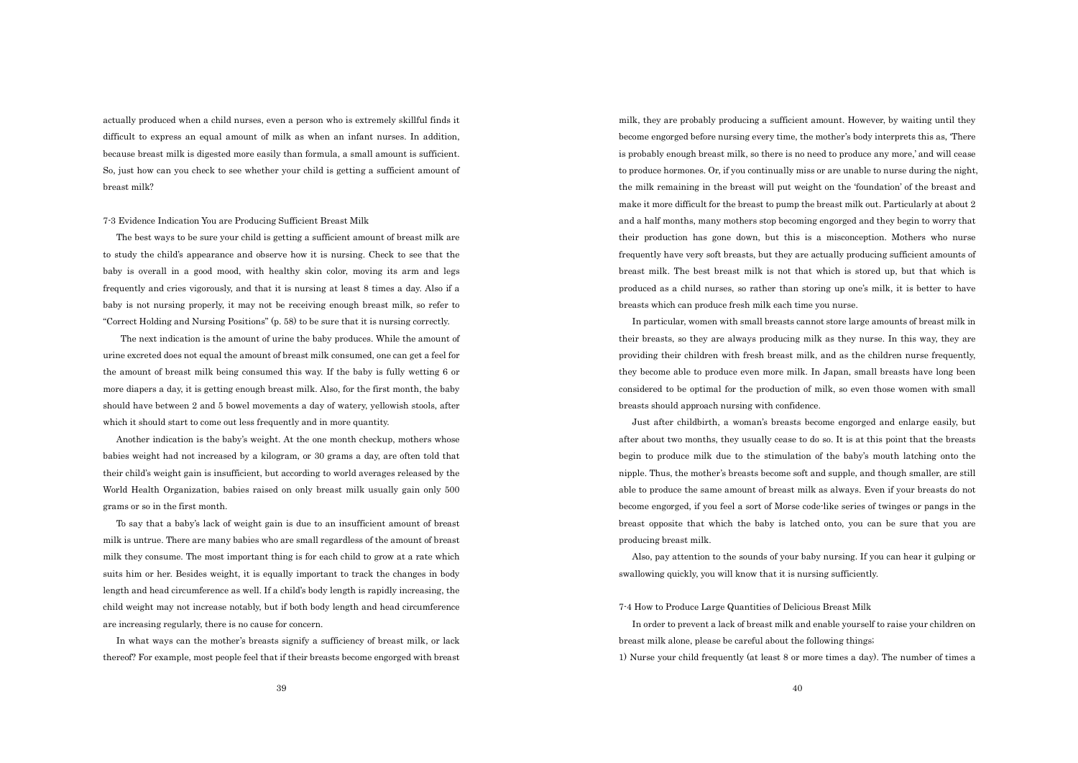actually produced when a child nurses, even a person who is extremely skillful finds it difficult to express an equal amount of milk as when an infant nurses. In addition, because breast milk is digested more easily than formula, a small amount is sufficient. So, just how can you check to see whether your child is getting a sufficient amount of breast milk?

## 7-3 Evidence Indication You are Producing Sufficient Breast Milk

 The best ways to be sure your child is getting a sufficient amount of breast milk are to study the child's appearance and observe how it is nursing. Check to see that the baby is overall in a good mood, with healthy skin color, moving its arm and legs frequently and cries vigorously, and that it is nursing at least 8 times a day. Also if a baby is not nursing properly, it may not be receiving enough breast milk, so refer to "Correct Holding and Nursing Positions" (p. 58) to be sure that it is nursing correctly.

 The next indication is the amount of urine the baby produces. While the amount of urine excreted does not equal the amount of breast milk consumed, one can get a feel for the amount of breast milk being consumed this way. If the baby is fully wetting 6 or more diapers a day, it is getting enough breast milk. Also, for the first month, the baby should have between 2 and 5 bowel movements a day of watery, yellowish stools, after which it should start to come out less frequently and in more quantity.

 Another indication is the baby's weight. At the one month checkup, mothers whose babies weight had not increased by a kilogram, or 30 grams a day, are often told that their child's weight gain is insufficient, but according to world averages released by the World Health Organization, babies raised on only breast milk usually gain only 500 grams or so in the first month.

 To say that a baby's lack of weight gain is due to an insufficient amount of breast milk is untrue. There are many babies who are small regardless of the amount of breast milk they consume. The most important thing is for each child to grow at a rate which suits him or her. Besides weight, it is equally important to track the changes in body length and head circumference as well. If a child's body length is rapidly increasing, the child weight may not increase notably, but if both body length and head circumference are increasing regularly, there is no cause for concern.

In what ways can the mother's breasts signify a sufficiency of breast milk, or lack thereof? For example, most people feel that if their breasts become engorged with breast milk, they are probably producing a sufficient amount. However, by waiting until they become engorged before nursing every time, the mother's body interprets this as, 'There is probably enough breast milk, so there is no need to produce any more,' and will cease to produce hormones. Or, if you continually miss or are unable to nurse during the night, the milk remaining in the breast will put weight on the 'foundation' of the breast and make it more difficult for the breast to pump the breast milk out. Particularly at about 2 and a half months, many mothers stop becoming engorged and they begin to worry that their production has gone down, but this is a misconception. Mothers who nurse frequently have very soft breasts, but they are actually producing sufficient amounts of breast milk. The best breast milk is not that which is stored up, but that which is produced as a child nurses, so rather than storing up one's milk, it is better to have breasts which can produce fresh milk each time you nurse.

 In particular, women with small breasts cannot store large amounts of breast milk in their breasts, so they are always producing milk as they nurse. In this way, they are providing their children with fresh breast milk, and as the children nurse frequently, they become able to produce even more milk. In Japan, small breasts have long been considered to be optimal for the production of milk, so even those women with small breasts should approach nursing with confidence.

 Just after childbirth, a woman's breasts become engorged and enlarge easily, but after about two months, they usually cease to do so. It is at this point that the breasts begin to produce milk due to the stimulation of the baby's mouth latching onto the nipple. Thus, the mother's breasts become soft and supple, and though smaller, are still able to produce the same amount of breast milk as always. Even if your breasts do not become engorged, if you feel a sort of Morse code-like series of twinges or pangs in the breast opposite that which the baby is latched onto, you can be sure that you are producing breast milk.

 Also, pay attention to the sounds of your baby nursing. If you can hear it gulping or swallowing quickly, you will know that it is nursing sufficiently.

## 7-4 How to Produce Large Quantities of Delicious Breast Milk

 In order to prevent a lack of breast milk and enable yourself to raise your children on breast milk alone, please be careful about the following things;

1) Nurse your child frequently (at least 8 or more times a day). The number of times a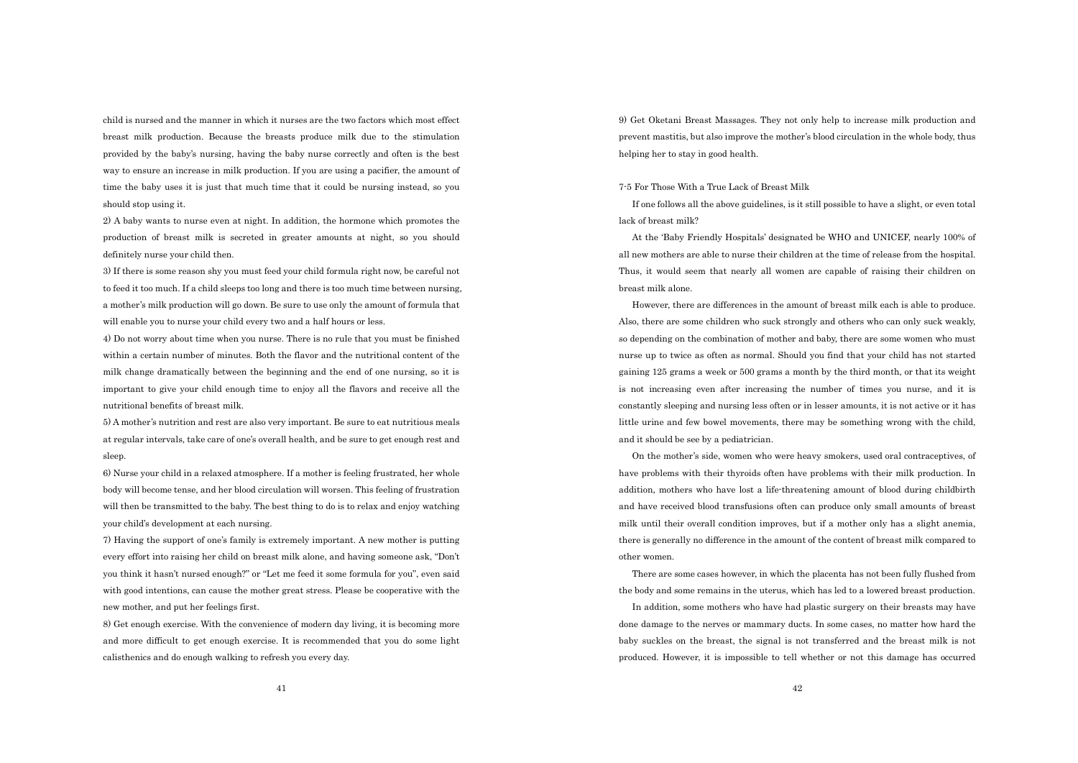child is nursed and the manner in which it nurses are the two factors which most effect breast milk production. Because the breasts produce milk due to the stimulation provided by the baby's nursing, having the baby nurse correctly and often is the best way to ensure an increase in milk production. If you are using a pacifier, the amount of time the baby uses it is just that much time that it could be nursing instead, so you should stop using it.

2) A baby wants to nurse even at night. In addition, the hormone which promotes the production of breast milk is secreted in greater amounts at night, so you should definitely nurse your child then.

3) If there is some reason shy you must feed your child formula right now, be careful not to feed it too much. If a child sleeps too long and there is too much time between nursing, a mother's milk production will go down. Be sure to use only the amount of formula that will enable you to nurse your child every two and a half hours or less.

4) Do not worry about time when you nurse. There is no rule that you must be finished within a certain number of minutes. Both the flavor and the nutritional content of the milk change dramatically between the beginning and the end of one nursing, so it is important to give your child enough time to enjoy all the flavors and receive all the nutritional benefits of breast milk.

5) A mother's nutrition and rest are also very important. Be sure to eat nutritious meals at regular intervals, take care of one's overall health, and be sure to get enough rest and sleep.

6) Nurse your child in a relaxed atmosphere. If a mother is feeling frustrated, her whole body will become tense, and her blood circulation will worsen. This feeling of frustration will then be transmitted to the baby. The best thing to do is to relax and enjoy watching your child's development at each nursing.

7) Having the support of one's family is extremely important. A new mother is putting every effort into raising her child on breast milk alone, and having someone ask, "Don't you think it hasn't nursed enough?" or "Let me feed it some formula for you", even said with good intentions, can cause the mother great stress. Please be cooperative with the new mother, and put her feelings first.

8) Get enough exercise. With the convenience of modern day living, it is becoming more and more difficult to get enough exercise. It is recommended that you do some light calisthenics and do enough walking to refresh you every day.

9) Get Oketani Breast Massages. They not only help to increase milk production and prevent mastitis, but also improve the mother's blood circulation in the whole body, thus helping her to stay in good health.

#### 7-5 For Those With a True Lack of Breast Milk

 If one follows all the above guidelines, is it still possible to have a slight, or even total lack of breast milk?

 At the 'Baby Friendly Hospitals' designated be WHO and UNICEF, nearly 100% of all new mothers are able to nurse their children at the time of release from the hospital. Thus, it would seem that nearly all women are capable of raising their children on breast milk alone.

 However, there are differences in the amount of breast milk each is able to produce. Also, there are some children who suck strongly and others who can only suck weakly, so depending on the combination of mother and baby, there are some women who must nurse up to twice as often as normal. Should you find that your child has not started gaining 125 grams a week or 500 grams a month by the third month, or that its weight is not increasing even after increasing the number of times you nurse, and it is constantly sleeping and nursing less often or in lesser amounts, it is not active or it has little urine and few bowel movements, there may be something wrong with the child, and it should be see by a pediatrician.

 On the mother's side, women who were heavy smokers, used oral contraceptives, of have problems with their thyroids often have problems with their milk production. In addition, mothers who have lost a life-threatening amount of blood during childbirth and have received blood transfusions often can produce only small amounts of breast milk until their overall condition improves, but if a mother only has a slight anemia, there is generally no difference in the amount of the content of breast milk compared to other women.

 There are some cases however, in which the placenta has not been fully flushed from the body and some remains in the uterus, which has led to a lowered breast production.

 In addition, some mothers who have had plastic surgery on their breasts may have done damage to the nerves or mammary ducts. In some cases, no matter how hard the baby suckles on the breast, the signal is not transferred and the breast milk is not produced. However, it is impossible to tell whether or not this damage has occurred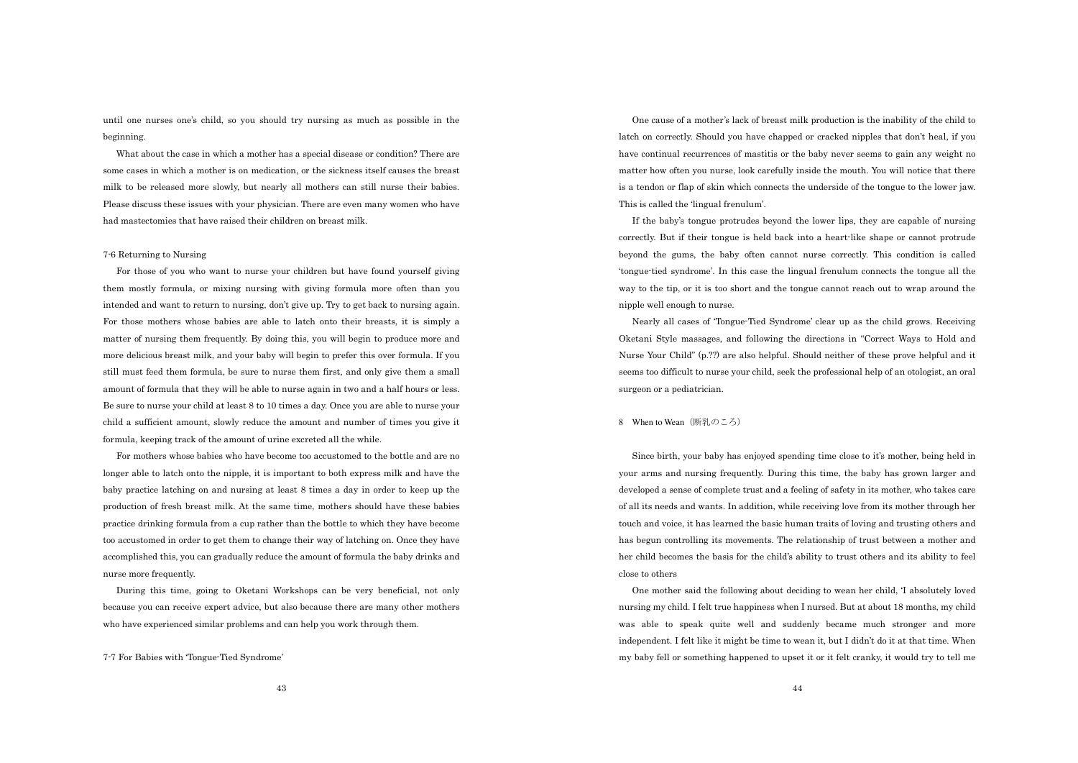until one nurses one's child, so you should try nursing as much as possible in the beginning.

 What about the case in which a mother has a special disease or condition? There are some cases in which a mother is on medication, or the sickness itself causes the breast milk to be released more slowly, but nearly all mothers can still nurse their babies. Please discuss these issues with your physician. There are even many women who have had mastectomies that have raised their children on breast milk.

#### 7-6 Returning to Nursing

 For those of you who want to nurse your children but have found yourself giving them mostly formula, or mixing nursing with giving formula more often than you intended and want to return to nursing, don't give up. Try to get back to nursing again. For those mothers whose babies are able to latch onto their breasts, it is simply a matter of nursing them frequently. By doing this, you will begin to produce more and more delicious breast milk, and your baby will begin to prefer this over formula. If you still must feed them formula, be sure to nurse them first, and only give them a small amount of formula that they will be able to nurse again in two and a half hours or less. Be sure to nurse your child at least 8 to 10 times a day. Once you are able to nurse your child a sufficient amount, slowly reduce the amount and number of times you give it formula, keeping track of the amount of urine excreted all the while.

 For mothers whose babies who have become too accustomed to the bottle and are no longer able to latch onto the nipple, it is important to both express milk and have the baby practice latching on and nursing at least 8 times a day in order to keep up the production of fresh breast milk. At the same time, mothers should have these babies practice drinking formula from a cup rather than the bottle to which they have become too accustomed in order to get them to change their way of latching on. Once they have accomplished this, you can gradually reduce the amount of formula the baby drinks and nurse more frequently.

 During this time, going to Oketani Workshops can be very beneficial, not only because you can receive expert advice, but also because there are many other mothers who have experienced similar problems and can help you work through them.

7-7 For Babies with 'Tongue-Tied Syndrome'

 One cause of a mother's lack of breast milk production is the inability of the child to latch on correctly. Should you have chapped or cracked nipples that don't heal, if you have continual recurrences of mastitis or the baby never seems to gain any weight no matter how often you nurse, look carefully inside the mouth. You will notice that there is a tendon or flap of skin which connects the underside of the tongue to the lower jaw. This is called the 'lingual frenulum'.

 If the baby's tongue protrudes beyond the lower lips, they are capable of nursing correctly. But if their tongue is held back into a heart-like shape or cannot protrude beyond the gums, the baby often cannot nurse correctly. This condition is called 'tongue-tied syndrome'. In this case the lingual frenulum connects the tongue all the way to the tip, or it is too short and the tongue cannot reach out to wrap around the nipple well enough to nurse.

 Nearly all cases of 'Tongue-Tied Syndrome' clear up as the child grows. Receiving Oketani Style massages, and following the directions in "Correct Ways to Hold and Nurse Your Child" (p.??) are also helpful. Should neither of these prove helpful and it seems too difficult to nurse your child, seek the professional help of an otologist, an oral surgeon or a pediatrician.

### 8 When to Wean(断乳のころ)

 Since birth, your baby has enjoyed spending time close to it's mother, being held in your arms and nursing frequently. During this time, the baby has grown larger and developed a sense of complete trust and a feeling of safety in its mother, who takes care of all its needs and wants. In addition, while receiving love from its mother through her touch and voice, it has learned the basic human traits of loving and trusting others and has begun controlling its movements. The relationship of trust between a mother and her child becomes the basis for the child's ability to trust others and its ability to feel close to others

 One mother said the following about deciding to wean her child, 'I absolutely loved nursing my child. I felt true happiness when I nursed. But at about 18 months, my child was able to speak quite well and suddenly became much stronger and more independent. I felt like it might be time to wean it, but I didn't do it at that time. When my baby fell or something happened to upset it or it felt cranky, it would try to tell me